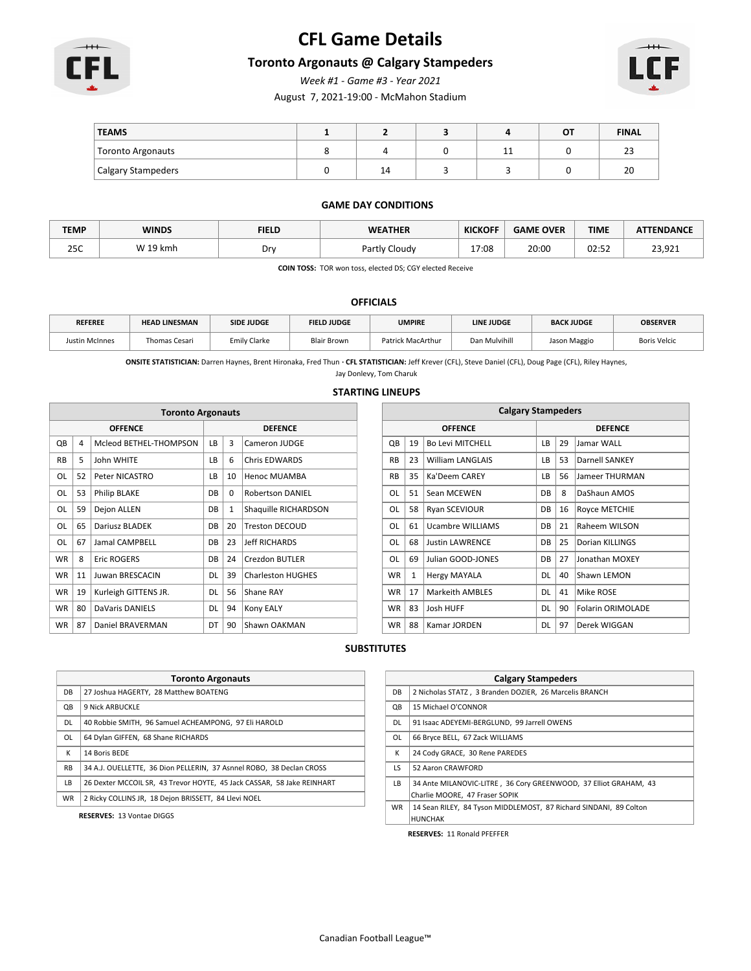

# **CFL Game Details**

### **Toronto Argonauts @ Calgary Stampeders**

*Week #1 - Game #3 - Year 2021*

August 7, 2021-19:00 - McMahon Stadium



| <b>TEAMS</b>       |         |   | ΟT | <b>FINAL</b> |
|--------------------|---------|---|----|--------------|
| Toronto Argonauts  |         | ᆠ |    | $\sim$<br>دے |
| Calgary Stampeders | ◢<br>14 |   |    | 20           |

#### **GAME DAY CONDITIONS**

| <b>TEMP</b> | <b>WINDS</b> | <b>FIELD</b> | <b>WEATHER</b> | <b>KICKOFF</b> | <b>GAME OVER</b> | <b>TIME</b> | <b>ATTENDANCE</b> |
|-------------|--------------|--------------|----------------|----------------|------------------|-------------|-------------------|
| 25C         | W 19 kmh     | οr           | Partly Cloudv  | 17:08          | 20:00            | 02:52       | 23,921            |

**COIN TOSS:** TOR won toss, elected DS; CGY elected Receive

#### **OFFICIALS**

| <b>REFEREE</b> | <b>HEAD LINESMAN</b> | <b>SIDE JUDGE</b>   | <b>FIELD JUDGE</b> | <b>UMPIRE</b>     | <b>LINE JUDGE</b> | <b>BACK JUDGE</b> | <b>OBSERVER</b>     |
|----------------|----------------------|---------------------|--------------------|-------------------|-------------------|-------------------|---------------------|
| ustin McInnes  | Thomas Cesari        | <b>Emily Clarke</b> | <b>Blair Brown</b> | Patrick MacArthur | Dan Mulvihill     | Jason Maggio      | <b>Boris Velcic</b> |

**ONSITE STATISTICIAN:** Darren Haynes, Brent Hironaka, Fred Thun **· CFL STATISTICIAN:** Jeff Krever (CFL), Steve Daniel (CFL), Doug Page (CFL), Riley Haynes,

### Jay Donlevy, Tom Charuk **STARTING LINEUPS**

|           | <b>Toronto Argonauts</b> |                        |           |          |                          |  |           |    | <b>Calgary Stampeders</b> |           |    |     |
|-----------|--------------------------|------------------------|-----------|----------|--------------------------|--|-----------|----|---------------------------|-----------|----|-----|
|           |                          | <b>OFFENCE</b>         |           |          | <b>DEFENCE</b>           |  |           |    | <b>OFFENCE</b>            |           |    |     |
| QB        | $\overline{4}$           | Mcleod BETHEL-THOMPSON | LB.       | 3        | Cameron JUDGE            |  | QB        | 19 | <b>Bo Levi MITCHELL</b>   | <b>LB</b> | 29 | IJ  |
| <b>RB</b> | .5                       | John WHITE             | LB        | 6        | <b>Chris EDWARDS</b>     |  | <b>RB</b> | 23 | <b>William LANGLAIS</b>   | LB        | 53 | D   |
| <b>OL</b> | 52                       | Peter NICASTRO         | LB        | 10       | <b>Henoc MUAMBA</b>      |  | <b>RB</b> | 35 | Ka'Deem CAREY             | LB.       | 56 | J٤  |
| 0L        | 53                       | <b>Philip BLAKE</b>    | <b>DB</b> | $\Omega$ | <b>Robertson DANIEL</b>  |  | OL        | 51 | Sean MCEWEN               | <b>DB</b> | 8  | D   |
| OL        | 59                       | Dejon ALLEN            | DB        | 1        | Shaquille RICHARDSON     |  | <b>OL</b> | 58 | Ryan SCEVIOUR             | DB        | 16 | ١R  |
| OL        | 65                       | Dariusz BLADEK         | DB        | 20       | Treston DECOUD           |  | OL        | 61 | <b>Ucambre WILLIAMS</b>   | <b>DB</b> | 21 | l R |
| OL        | 67                       | Jamal CAMPBELL         | DB        | 23       | <b>Jeff RICHARDS</b>     |  | OL        | 68 | <b>Justin LAWRENCE</b>    | <b>DB</b> | 25 | D   |
| <b>WR</b> | 8                        | <b>Eric ROGERS</b>     | DB        | 24       | <b>Crezdon BUTLER</b>    |  | OL        | 69 | Julian GOOD-JONES         | DB        | 27 | IJ  |
| <b>WR</b> | 11                       | Juwan BRESCACIN        | DL        | 39       | <b>Charleston HUGHES</b> |  | <b>WR</b> | 1  | <b>Hergy MAYALA</b>       | DL        | 40 | ls  |
| <b>WR</b> | 19                       | Kurleigh GITTENS JR.   | DL        | 56       | Shane RAY                |  | <b>WR</b> | 17 | <b>Markeith AMBLES</b>    | <b>DL</b> | 41 | ۱N  |
| <b>WR</b> | 80                       | <b>DaVaris DANIELS</b> | <b>DL</b> | 94       | Kony EALY                |  | <b>WR</b> | 83 | Josh HUFF                 | <b>DL</b> | 90 | ١F  |
| <b>WR</b> | 87                       | Daniel BRAVERMAN       | DT        | 90       | Shawn OAKMAN             |  | <b>WR</b> | 88 | Kamar JORDEN              | <b>DL</b> | 97 | D   |
|           |                          |                        |           |          |                          |  |           |    |                           |           |    |     |

| <b>Calgary Stampeders</b> |              |                         |                       |                             |                          |  |  |  |  |  |
|---------------------------|--------------|-------------------------|-----------------------|-----------------------------|--------------------------|--|--|--|--|--|
|                           |              | <b>OFFENCE</b>          | <b>DEFENCE</b>        |                             |                          |  |  |  |  |  |
| QB                        | 19           | <b>Bo Levi MITCHELL</b> | LB                    | 29                          | Jamar WALL               |  |  |  |  |  |
| <b>RB</b>                 | 23           | <b>William LANGLAIS</b> | LВ                    | 53                          | Darnell SANKEY           |  |  |  |  |  |
| <b>RB</b>                 | 35           | Ka'Deem CAREY           | LB                    | 56<br><b>Jameer THURMAN</b> |                          |  |  |  |  |  |
| OL                        | 51           | Sean MCEWEN             | DB                    | 8<br>DaShaun AMOS           |                          |  |  |  |  |  |
| OL                        | 58           | Ryan SCEVIOUR           | DB                    | 16<br>Royce METCHIE         |                          |  |  |  |  |  |
| OL                        | 61           | <b>Ucambre WILLIAMS</b> | DB                    | 21                          | Raheem WILSON            |  |  |  |  |  |
| OL                        | 68           | <b>Justin LAWRENCE</b>  | DB                    | 25                          | Dorian KILLINGS          |  |  |  |  |  |
| OL                        | 69           | Julian GOOD-JONES       | DB                    | 27                          | Jonathan MOXEY           |  |  |  |  |  |
| <b>WR</b>                 | $\mathbf{1}$ | <b>Hergy MAYALA</b>     | DL                    | 40                          | Shawn LEMON              |  |  |  |  |  |
| <b>WR</b>                 | 17           | <b>Markeith AMBLES</b>  | 41<br>Mike ROSE<br>DL |                             |                          |  |  |  |  |  |
| <b>WR</b>                 | 83           | Josh HUFF               | DL                    | 90                          | <b>Folarin ORIMOLADE</b> |  |  |  |  |  |
| <b>WR</b>                 | 88           | Kamar JORDEN            | DL                    | 97                          | Derek WIGGAN             |  |  |  |  |  |

### **SUBSTITUTES**

|           | <b>Toronto Argonauts</b>                                               |  |  |  |  |  |  |  |
|-----------|------------------------------------------------------------------------|--|--|--|--|--|--|--|
| DB.       | 27 Joshua HAGERTY, 28 Matthew BOATENG                                  |  |  |  |  |  |  |  |
| QB        | 9 Nick ARBUCKLE                                                        |  |  |  |  |  |  |  |
| DL.       | 40 Robbie SMITH. 96 Samuel ACHEAMPONG. 97 Eli HAROLD                   |  |  |  |  |  |  |  |
| OL        | 64 Dylan GIFFEN, 68 Shane RICHARDS                                     |  |  |  |  |  |  |  |
| К         | 14 Boris BEDE                                                          |  |  |  |  |  |  |  |
| <b>RB</b> | 34 A.J. OUELLETTE, 36 Dion PELLERIN, 37 Asnnel ROBO, 38 Declan CROSS   |  |  |  |  |  |  |  |
| LB.       | 26 Dexter MCCOIL SR. 43 Trevor HOYTE. 45 Jack CASSAR. 58 Jake REINHART |  |  |  |  |  |  |  |
| <b>WR</b> | 2 Ricky COLLINS JR, 18 Dejon BRISSETT, 84 Llevi NOEL                   |  |  |  |  |  |  |  |
|           |                                                                        |  |  |  |  |  |  |  |

**RESERVES:** 13 Vontae DIGGS

|           | <b>Calgary Stampeders</b>                                                                          |  |  |  |  |  |  |  |
|-----------|----------------------------------------------------------------------------------------------------|--|--|--|--|--|--|--|
| DB        | 2 Nicholas STATZ, 3 Branden DOZIER, 26 Marcelis BRANCH                                             |  |  |  |  |  |  |  |
| QB        | 15 Michael O'CONNOR                                                                                |  |  |  |  |  |  |  |
| DL        | 91 Isaac ADEYEMI-BERGLUND, 99 Jarrell OWENS                                                        |  |  |  |  |  |  |  |
| OL        | 66 Bryce BELL, 67 Zack WILLIAMS                                                                    |  |  |  |  |  |  |  |
| К         | 24 Cody GRACE, 30 Rene PAREDES                                                                     |  |  |  |  |  |  |  |
| LS        | 52 Aaron CRAWFORD                                                                                  |  |  |  |  |  |  |  |
| LB.       | 34 Ante MILANOVIC-LITRE, 36 Cory GREENWOOD, 37 Elliot GRAHAM, 43<br>Charlie MOORE, 47 Fraser SOPIK |  |  |  |  |  |  |  |
| <b>WR</b> | 14 Sean RILEY, 84 Tyson MIDDLEMOST, 87 Richard SINDANI, 89 Colton<br><b>HUNCHAK</b>                |  |  |  |  |  |  |  |
|           | <b>RESERVES: 11 Ronald PFEFFER</b>                                                                 |  |  |  |  |  |  |  |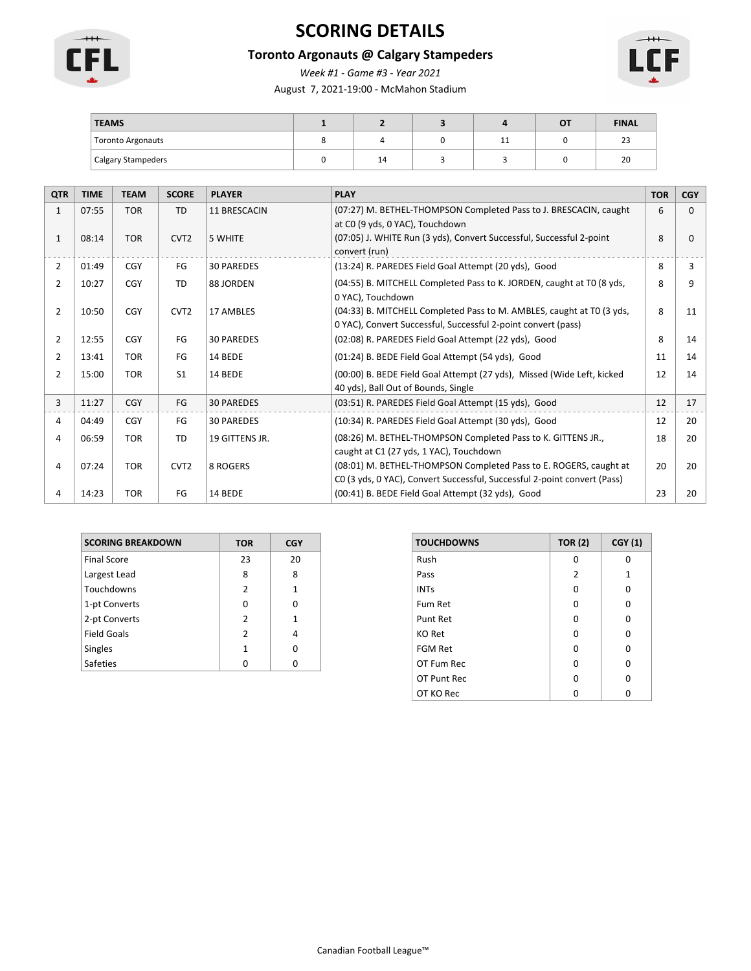

# **SCORING DETAILS**

# **Toronto Argonauts @ Calgary Stampeders**

*Week #1 - Game #3 - Year 2021*

August 7, 2021-19:00 - McMahon Stadium



| <b>TEAMS</b>              |    |   | OT | <b>FINAL</b> |
|---------------------------|----|---|----|--------------|
| <b>Toronto Argonauts</b>  |    | ᆠ |    | $\sim$<br>ت  |
| <b>Calgary Stampeders</b> | 14 |   |    | 20           |

| <b>QTR</b>     | <b>TIME</b> | <b>TEAM</b> | <b>SCORE</b>     | <b>PLAYER</b>     | <b>PLAY</b>                                                                           | <b>TOR</b> | <b>CGY</b> |
|----------------|-------------|-------------|------------------|-------------------|---------------------------------------------------------------------------------------|------------|------------|
| $\mathbf{1}$   | 07:55       | <b>TOR</b>  | <b>TD</b>        | 11 BRESCACIN      | (07:27) M. BETHEL-THOMPSON Completed Pass to J. BRESCACIN, caught                     | 6          | 0          |
|                |             |             |                  |                   | at C0 (9 yds, 0 YAC), Touchdown                                                       |            |            |
| $\mathbf{1}$   | 08:14       | <b>TOR</b>  | CVT <sub>2</sub> | 5 WHITE           | (07:05) J. WHITE Run (3 yds), Convert Successful, Successful 2-point<br>convert (run) | 8          | O          |
| 2              | 01:49       | CGY         | FG               | <b>30 PAREDES</b> | (13:24) R. PAREDES Field Goal Attempt (20 yds), Good                                  | 8          | 3          |
| 2              | 10:27       | <b>CGY</b>  | TD               | 88 JORDEN         | (04:55) B. MITCHELL Completed Pass to K. JORDEN, caught at TO (8 yds,                 | 8          | q          |
|                |             |             |                  |                   | 0 YAC), Touchdown                                                                     |            |            |
| 2              | 10:50       | <b>CGY</b>  | CVT <sub>2</sub> | 17 AMBLES         | (04:33) B. MITCHELL Completed Pass to M. AMBLES, caught at TO (3 yds,                 | 8          | 11         |
|                |             |             |                  |                   | 0 YAC), Convert Successful, Successful 2-point convert (pass)                         |            |            |
| 2              | 12:55       | CGY         | FG               | <b>30 PAREDES</b> | (02:08) R. PAREDES Field Goal Attempt (22 yds), Good                                  | 8          | 14         |
| 2              | 13:41       | <b>TOR</b>  | FG               | 14 BEDE           | (01:24) B. BEDE Field Goal Attempt (54 yds), Good                                     | 11         | 14         |
| $\overline{2}$ | 15:00       | <b>TOR</b>  | S <sub>1</sub>   | 14 BEDE           | (00:00) B. BEDE Field Goal Attempt (27 yds), Missed (Wide Left, kicked                | 12         | 14         |
|                |             |             |                  |                   | 40 yds), Ball Out of Bounds, Single                                                   |            |            |
| 3              | 11:27       | <b>CGY</b>  | FG               | <b>30 PAREDES</b> | (03:51) R. PAREDES Field Goal Attempt (15 yds), Good                                  | 12         | 17         |
| 4              | 04:49       | <b>CGY</b>  | FG               | <b>30 PAREDES</b> | (10:34) R. PAREDES Field Goal Attempt (30 yds), Good                                  | 12         | 20         |
| 4              | 06:59       | <b>TOR</b>  | TD               | 19 GITTENS JR.    | (08:26) M. BETHEL-THOMPSON Completed Pass to K. GITTENS JR.,                          | 18         | 20         |
|                |             |             |                  |                   | caught at C1 (27 yds, 1 YAC), Touchdown                                               |            |            |
| 4              | 07:24       | <b>TOR</b>  | CVT <sub>2</sub> | 8 ROGERS          | (08:01) M. BETHEL-THOMPSON Completed Pass to E. ROGERS, caught at                     | 20         | 20         |
|                |             |             |                  |                   | CO (3 yds, 0 YAC), Convert Successful, Successful 2-point convert (Pass)              |            |            |
| 4              | 14:23       | <b>TOR</b>  | FG               | 14 BEDE           | (00:41) B. BEDE Field Goal Attempt (32 yds), Good                                     | 23         | 20         |

| <b>SCORING BREAKDOWN</b> | <b>TOR</b>    | <b>CGY</b> |
|--------------------------|---------------|------------|
| <b>Final Score</b>       | 23            | 20         |
| Largest Lead             | 8             | 8          |
| Touchdowns               | $\mathcal{P}$ | 1          |
| 1-pt Converts            | O             | O          |
| 2-pt Converts            | $\mathcal{P}$ | 1          |
| <b>Field Goals</b>       | $\mathcal{P}$ | 4          |
| <b>Singles</b>           | 1             | n          |
| <b>Safeties</b>          |               |            |

| <b>TOUCHDOWNS</b> | <b>TOR (2)</b> | <b>CGY (1)</b> |
|-------------------|----------------|----------------|
| Rush              | ŋ              | ŋ              |
| Pass              | 2              | $\mathbf{1}$   |
| <b>INTs</b>       | O              | O              |
| Fum Ret           | 0              | O              |
| Punt Ret          | O              | O              |
| KO Ret            | O              | O              |
| FGM Ret           | O              | O              |
| OT Fum Rec        | ŋ              | O              |
| OT Punt Rec       | O              | O              |
| OT KO Rec         |                |                |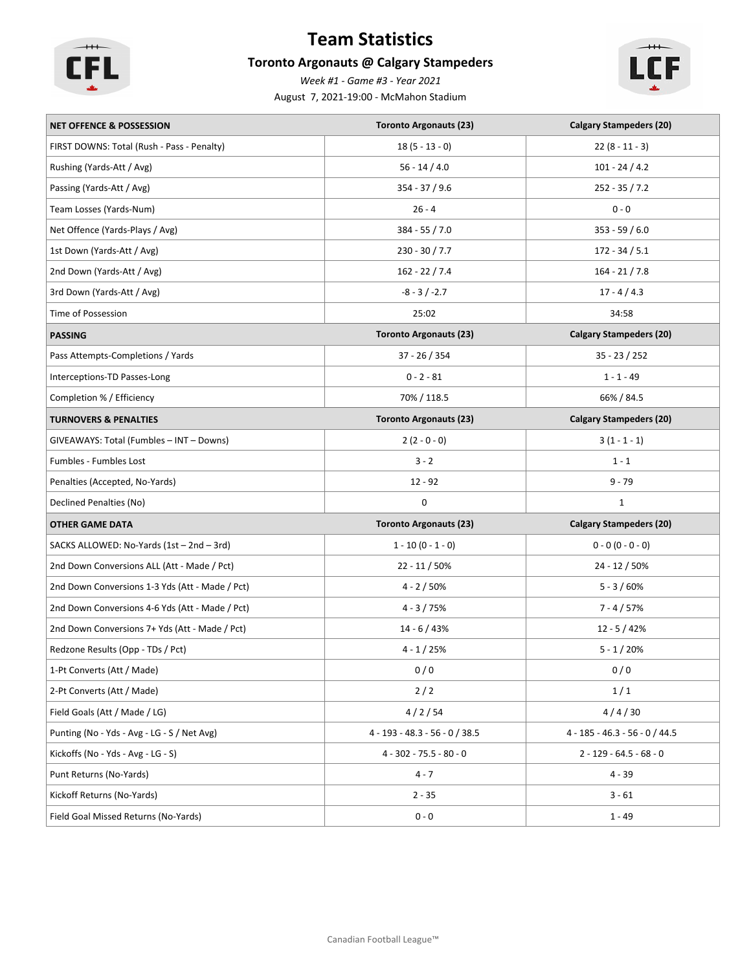

# **Team Statistics**

# **Toronto Argonauts @ Calgary Stampeders**

*Week #1 - Game #3 - Year 2021*

August 7, 2021-19:00 - McMahon Stadium



| <b>NET OFFENCE &amp; POSSESSION</b>             | <b>Toronto Argonauts (23)</b>    | <b>Calgary Stampeders (20)</b>   |
|-------------------------------------------------|----------------------------------|----------------------------------|
| FIRST DOWNS: Total (Rush - Pass - Penalty)      | $18(5 - 13 - 0)$                 | $22(8 - 11 - 3)$                 |
| Rushing (Yards-Att / Avg)                       | $56 - 14 / 4.0$                  | $101 - 24 / 4.2$                 |
| Passing (Yards-Att / Avg)                       | 354 - 37 / 9.6                   | $252 - 35 / 7.2$                 |
| Team Losses (Yards-Num)                         | $26 - 4$                         | $0 - 0$                          |
| Net Offence (Yards-Plays / Avg)                 | $384 - 55 / 7.0$                 | $353 - 59 / 6.0$                 |
| 1st Down (Yards-Att / Avg)                      | $230 - 30 / 7.7$                 | $172 - 34 / 5.1$                 |
| 2nd Down (Yards-Att / Avg)                      | $162 - 22 / 7.4$                 | $164 - 21 / 7.8$                 |
| 3rd Down (Yards-Att / Avg)                      | $-8 - 3 / -2.7$                  | $17 - 4 / 4.3$                   |
| Time of Possession                              | 25:02                            | 34:58                            |
| <b>PASSING</b>                                  | <b>Toronto Argonauts (23)</b>    | <b>Calgary Stampeders (20)</b>   |
| Pass Attempts-Completions / Yards               | $37 - 26 / 354$                  | $35 - 23 / 252$                  |
| Interceptions-TD Passes-Long                    | $0 - 2 - 81$                     | $1 - 1 - 49$                     |
| Completion % / Efficiency                       | 70% / 118.5                      | 66% / 84.5                       |
| <b>TURNOVERS &amp; PENALTIES</b>                | <b>Toronto Argonauts (23)</b>    | <b>Calgary Stampeders (20)</b>   |
| GIVEAWAYS: Total (Fumbles - INT - Downs)        | $2(2 - 0 - 0)$                   | $3(1 - 1 - 1)$                   |
| Fumbles - Fumbles Lost                          | $3 - 2$                          | $1 - 1$                          |
| Penalties (Accepted, No-Yards)                  | $12 - 92$                        | $9 - 79$                         |
| Declined Penalties (No)                         | 0                                | $\mathbf{1}$                     |
| <b>OTHER GAME DATA</b>                          | <b>Toronto Argonauts (23)</b>    | <b>Calgary Stampeders (20)</b>   |
| SACKS ALLOWED: No-Yards (1st - 2nd - 3rd)       | $1 - 10 (0 - 1 - 0)$             | $0 - 0 (0 - 0 - 0)$              |
| 2nd Down Conversions ALL (Att - Made / Pct)     | $22 - 11 / 50%$                  | $24 - 12 / 50%$                  |
| 2nd Down Conversions 1-3 Yds (Att - Made / Pct) | $4 - 2 / 50%$                    | $5 - 3 / 60%$                    |
| 2nd Down Conversions 4-6 Yds (Att - Made / Pct) | $4 - 3 / 75%$                    | $7 - 4 / 57%$                    |
| 2nd Down Conversions 7+ Yds (Att - Made / Pct)  | $14 - 6 / 43%$                   | $12 - 5 / 42%$                   |
| Redzone Results (Opp - TDs / Pct)               | $4 - 1 / 25%$                    | $5 - 1 / 20%$                    |
| 1-Pt Converts (Att / Made)                      | 0/0                              | 0/0                              |
| 2-Pt Converts (Att / Made)                      | 2/2                              | 1/1                              |
| Field Goals (Att / Made / LG)                   | 4/2/54                           | 4/4/30                           |
| Punting (No - Yds - Avg - LG - S / Net Avg)     | $4 - 193 - 48.3 - 56 - 0 / 38.5$ | $4 - 185 - 46.3 - 56 - 0 / 44.5$ |
| Kickoffs (No - Yds - Avg - LG - S)              | $4 - 302 - 75.5 - 80 - 0$        | $2 - 129 - 64.5 - 68 - 0$        |
| Punt Returns (No-Yards)                         | $4 - 7$                          | $4 - 39$                         |
| Kickoff Returns (No-Yards)                      | $2 - 35$                         | $3 - 61$                         |
| Field Goal Missed Returns (No-Yards)            | $0 - 0$                          | $1 - 49$                         |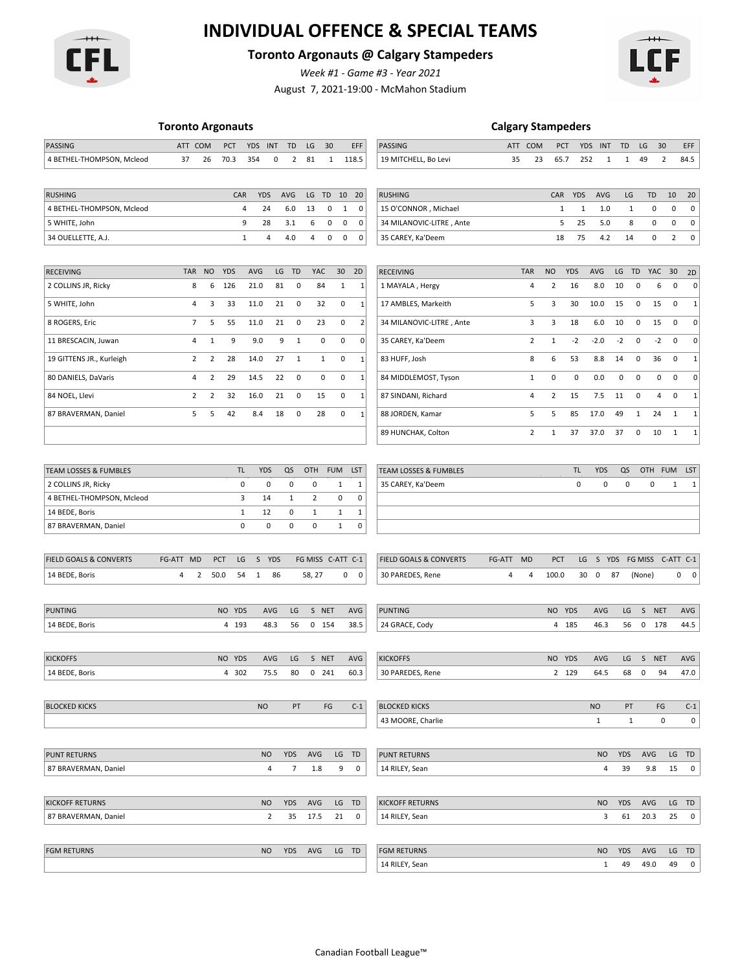

# **INDIVIDUAL OFFENCE & SPECIAL TEAMS**

### **Toronto Argonauts @ Calgary Stampeders**

*Week #1 - Game #3 - Year 2021*

August 7, 2021-19:00 - McMahon Stadium



|  | <b>Toronto Argonauts</b> |  |  |
|--|--------------------------|--|--|
|  |                          |  |  |

| <b>Toronto Argonauts</b>                    |                |                |            |                   |                |                       | <b>Calgary Stampeders</b> |              |              |                |                                   |        |                |              |              |                   |            |              |                 |                |                          |
|---------------------------------------------|----------------|----------------|------------|-------------------|----------------|-----------------------|---------------------------|--------------|--------------|----------------|-----------------------------------|--------|----------------|--------------|--------------|-------------------|------------|--------------|-----------------|----------------|--------------------------|
| PASSING                                     | ATT COM        |                | PCT        | <b>YDS</b>        | <b>INT</b>     | TD                    | LG                        | 30           |              | EFF            | PASSING                           |        | ATT COM        |              | PCT          | <b>YDS</b><br>INT | TD         |              | LG<br>30        |                | EFF                      |
| 4 BETHEL-THOMPSON, Mcleod                   | 37             | 26             | 70.3       | 354               | 0              | $\overline{2}$        | 81                        | $\mathbf{1}$ | 118.5        |                | 19 MITCHELL, Bo Levi              | 35     | 23             | 65.7         |              | 252               | 1          | 1            | 49              | $\overline{2}$ | 84.5                     |
|                                             |                |                |            |                   |                |                       |                           |              |              |                |                                   |        |                |              |              |                   |            |              |                 |                |                          |
| <b>RUSHING</b>                              |                |                | CAR        | <b>YDS</b>        |                | AVG                   | LG                        | TD           | 10           | 20             | <b>RUSHING</b>                    |        |                | CAR          | <b>YDS</b>   | <b>AVG</b>        |            | LG           | TD              | 10             | 20                       |
| 4 BETHEL-THOMPSON, Mcleod                   |                |                |            | 4                 | 24             | 6.0                   | 13                        | 0            | $\mathbf{1}$ | $\pmb{0}$      | 15 O'CONNOR, Michael              |        |                | 1            | $\mathbf{1}$ | 1.0               |            | 1            | 0               | $\mathbf 0$    | $\pmb{0}$                |
| 5 WHITE, John                               |                |                |            | 9                 | 28             | 3.1                   | 6                         | 0            | 0            | $\mathbf 0$    | 34 MILANOVIC-LITRE, Ante          |        |                | 5            | 25           | 5.0               |            | 8            | 0               | 0              | $\pmb{0}$                |
| 34 OUELLETTE, A.J.                          |                |                |            | $\mathbf{1}$      | 4              | 4.0                   | 4                         | 0            | 0            | $\mathbf 0$    | 35 CAREY, Ka'Deem                 |        |                | 18           | 75           | 4.2               |            | 14           | 0               | $\overline{2}$ | $\pmb{0}$                |
| <b>RECEIVING</b>                            | <b>TAR</b>     | <b>NO</b>      | <b>YDS</b> | <b>AVG</b>        | LG             | TD                    | YAC                       |              | 30           | 2D             | <b>RECEIVING</b>                  |        | <b>TAR</b>     | <b>NO</b>    | <b>YDS</b>   | AVG               | LG         | <b>TD</b>    | YAC             | 30             | 2D                       |
| 2 COLLINS JR, Ricky                         | 8              | 6              | 126        | 21.0              | 81             | 0                     | 84                        |              | $\mathbf{1}$ | $\mathbf{1}$   | 1 MAYALA, Hergy                   |        | 4              | 2            | 16           | 8.0               | 10         | 0            | 6               | $\pmb{0}$      | 0                        |
| 5 WHITE, John                               | 4              | 3              | 33         | 11.0              | 21             | 0                     | 32                        |              | $\mathbf 0$  | $\mathbf{1}$   | 17 AMBLES, Markeith               |        | 5              | 3            | 30           | 10.0              | 15         | $\mathbf 0$  | 15              | $\mathbf 0$    | $\mathbf{1}$             |
| 8 ROGERS, Eric                              | 7              | 5              | 55         | 11.0              | 21             | 0                     |                           | 23           | 0            | $\overline{2}$ | 34 MILANOVIC-LITRE, Ante          |        | 3              | 3            | 18           | 6.0               | 10         | $\mathbf 0$  | 15              | $\mathbf 0$    | 0                        |
| 11 BRESCACIN, Juwan                         | 4              | $\mathbf 1$    | 9          | 9.0               | 9              | $1\,$                 |                           | 0            | $\mathbf 0$  | 0              | 35 CAREY, Ka'Deem                 |        | $\overline{2}$ | $\mathbf{1}$ | $-2$         | $-2.0$            | $-2$       | $\pmb{0}$    | $-2$            | $\mathbf 0$    | 0                        |
| 19 GITTENS JR., Kurleigh                    | $\overline{2}$ | $\overline{2}$ | 28         | 14.0              | 27             | $\mathbf{1}$          |                           | 1            | 0            | $\mathbf{1}$   | 83 HUFF, Josh                     |        | 8              | 6            | 53           | 8.8               | 14         | 0            | 36              | $\mathbf 0$    | $\mathbf{1}$             |
| 80 DANIELS, DaVaris                         | 4              | $\overline{2}$ | 29         | 14.5              | 22             | $\pmb{0}$             |                           | 0            | $\mathbf 0$  | $\mathbf{1}$   | 84 MIDDLEMOST, Tyson              |        | 1              | $\pmb{0}$    | 0            | 0.0               | 0          | $\mathbf 0$  | 0               | $\mathbf 0$    | 0                        |
| 84 NOEL, Llevi                              | 2              | 2              | 32         | 16.0              | 21             | 0                     | 15                        |              | 0            | $\mathbf{1}$   | 87 SINDANI, Richard               |        | 4              | 2            | 15           | 7.5               | 11         | 0            | 4               | $\mathbf 0$    | 1                        |
| 87 BRAVERMAN, Daniel                        | 5              | 5              | 42         | 8.4               | 18             | 0                     |                           | 28           | 0            | $\mathbf{1}$   | 88 JORDEN, Kamar                  |        | 5              | 5            | 85           | 17.0              | 49         | $\mathbf{1}$ | 24              | 1              | $\mathbf{1}$             |
|                                             |                |                |            |                   |                |                       |                           |              |              |                | 89 HUNCHAK, Colton                |        | $\overline{2}$ | $\mathbf{1}$ | 37           | 37.0              | 37         | 0            | 10              | $\mathbf{1}$   | $\mathbf{1}$             |
|                                             |                |                |            |                   |                |                       |                           |              |              |                |                                   |        |                |              |              |                   |            |              |                 |                |                          |
| <b>TEAM LOSSES &amp; FUMBLES</b>            |                |                | TL         | <b>YDS</b>        |                | QS                    | OTH                       | <b>FUM</b>   |              | LST            | <b>TEAM LOSSES &amp; FUMBLES</b>  |        |                |              | TL           | <b>YDS</b>        |            | QS           | <b>OTH</b>      | <b>FUM</b>     | LST                      |
| 2 COLLINS JR, Ricky                         |                |                |            | $\pmb{0}$         | 0              | 0                     | 0                         |              | 1            | 1              | 35 CAREY, Ka'Deem                 |        |                |              | 0            |                   | 0          | $\pmb{0}$    | 0               | 1              | $\mathbf{1}$             |
| 4 BETHEL-THOMPSON, Mcleod<br>14 BEDE, Boris |                |                |            | 3<br>$\mathbf{1}$ | 14<br>12       | 1<br>0                | 2<br>1                    |              | 0<br>1       | 0<br>1         |                                   |        |                |              |              |                   |            |              |                 |                |                          |
| 87 BRAVERMAN, Daniel                        |                |                |            | 0                 | 0              | 0                     | 0                         |              | 1            | 0              |                                   |        |                |              |              |                   |            |              |                 |                |                          |
|                                             |                |                |            |                   |                |                       |                           |              |              |                |                                   |        |                |              |              |                   |            |              |                 |                |                          |
| <b>FIELD GOALS &amp; CONVERTS</b>           | FG-ATT MD      |                | PCT<br>LG  | S                 | <b>YDS</b>     |                       | FG MISS C-ATT C-1         |              |              |                | <b>FIELD GOALS &amp; CONVERTS</b> | FG-ATT | <b>MD</b>      | PCT          | LG           | S                 | YDS        | FG MISS      |                 |                | C-ATT C-1                |
| 14 BEDE, Boris                              | 4              | 2              | 50.0<br>54 | 1                 | 86             |                       | 58, 27                    |              | 0            | 0              | 30 PAREDES, Rene                  | 4      | 4              | 100.0        |              | 30<br>0           | 87         | (None)       |                 |                | $\mathbf 0$<br>0         |
|                                             |                |                |            |                   |                |                       |                           |              |              |                |                                   |        |                |              |              |                   |            |              |                 |                |                          |
| <b>PUNTING</b>                              |                |                | NO YDS     |                   | <b>AVG</b>     | LG                    |                           | S NET        |              | AVG            | PUNTING                           |        |                | <b>NO</b>    | YDS          | <b>AVG</b>        |            | LG           | S<br><b>NET</b> |                | AVG                      |
| 14 BEDE, Boris                              |                |                | 4 193      |                   | 48.3           | 56                    |                           | $0$ 154      | 38.5         |                | 24 GRACE, Cody                    |        |                |              | 4 185        | 46.3              |            | 56           | 0<br>178        |                | 44.5                     |
| <b>KICKOFFS</b>                             |                |                | NO YDS     |                   | <b>AVG</b>     | LG                    |                           | S NET        | AVG          |                | <b>KICKOFFS</b>                   |        |                |              | NO YDS       | <b>AVG</b>        |            | LG           | S NET           |                | <b>AVG</b>               |
| 14 BEDE, Boris                              |                |                | 4 302      |                   | 75.5           | 80                    |                           | 0 241        | 60.3         |                | 30 PAREDES, Rene                  |        |                |              | 2 129        | 64.5              |            | 68           | 0<br>94         |                | 47.0                     |
|                                             |                |                |            |                   |                |                       |                           |              |              |                |                                   |        |                |              |              |                   |            |              |                 |                |                          |
| <b>BLOCKED KICKS</b>                        |                |                |            | <b>NO</b>         |                | PT                    |                           | FG           |              | $C-1$          | <b>BLOCKED KICKS</b>              |        |                |              |              | <b>NO</b>         |            | PT           | FG              |                | $C-1$                    |
|                                             |                |                |            |                   |                |                       |                           |              |              |                | 43 MOORE, Charlie                 |        |                |              |              | 1                 |            | $\mathbf{1}$ |                 | 0              | 0                        |
| <b>PUNT RETURNS</b>                         |                |                |            |                   |                |                       |                           |              |              |                |                                   |        |                |              |              |                   | <b>YDS</b> |              | AVG             |                | LG TD                    |
|                                             |                |                |            | <b>NO</b>         | 4              | YDS<br>$\overline{7}$ | AVG<br>1.8                |              | LG TD<br>9   | 0              | <b>PUNT RETURNS</b>               |        |                |              |              | <b>NO</b>         | 4          | 39           | 9.8             | 15             | $\overline{\phantom{0}}$ |
| 87 BRAVERMAN, Daniel                        |                |                |            |                   |                |                       |                           |              |              |                | 14 RILEY, Sean                    |        |                |              |              |                   |            |              |                 |                |                          |
| <b>KICKOFF RETURNS</b>                      |                |                |            | <b>NO</b>         |                | YDS                   | AVG                       |              | LG TD        |                | <b>KICKOFF RETURNS</b>            |        |                |              |              | NO                | <b>YDS</b> |              | AVG             |                | LG TD                    |
| 87 BRAVERMAN, Daniel                        |                |                |            |                   | $\overline{2}$ | 35                    | 17.5                      |              | 21           | 0              | 14 RILEY, Sean                    |        |                |              |              |                   | 3          | 61           | 20.3            | 25             | $\overline{\phantom{0}}$ |
|                                             |                |                |            |                   |                |                       |                           |              |              |                |                                   |        |                |              |              |                   |            |              |                 |                |                          |
| <b>FGM RETURNS</b>                          |                |                |            |                   | <b>NO</b>      |                       | YDS AVG                   |              | LG TD        |                | <b>FGM RETURNS</b>                |        |                |              |              |                   | NO YDS AVG |              |                 |                | LG TD                    |

14 RILEY, Sean 14 RILEY, Sean 1 49 49.0 49 0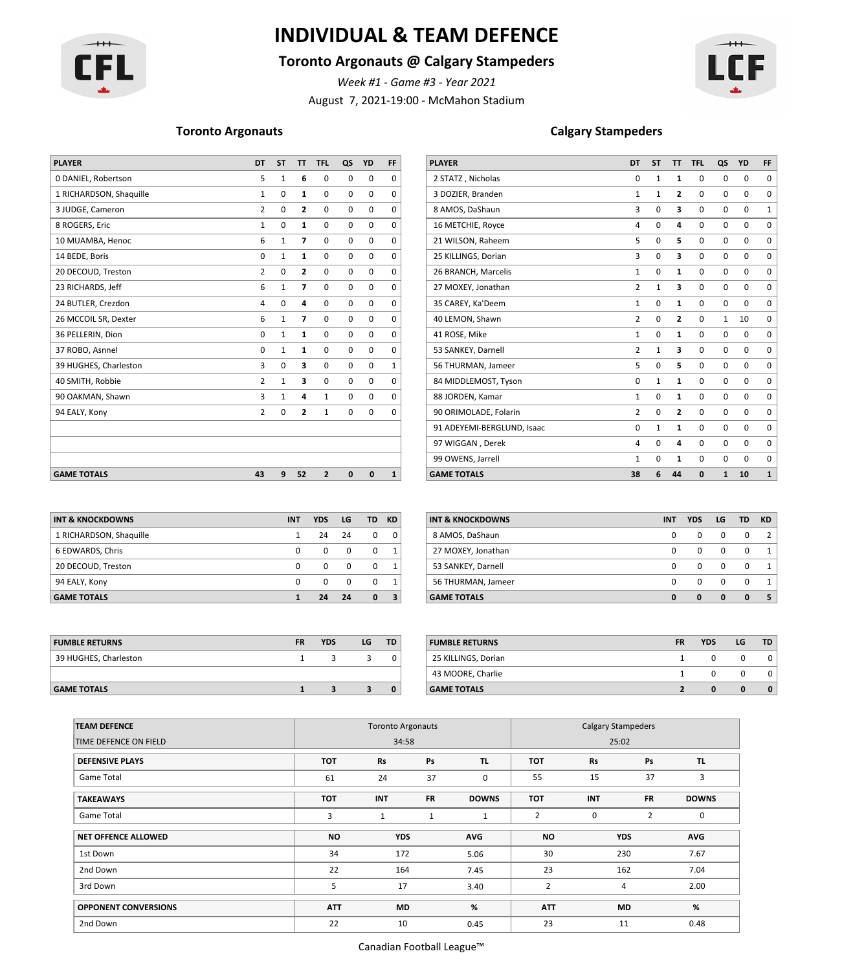

# **INDIVIDUAL & TEAM DEFENCE**

### **Toronto Argonauts @ Calgary Stampeders**

*Week #1 - Game #3 - Year 2021*

August 7, 2021-19:00 - McMahon Stadium



| <b>PLAYER</b><br><b>YD</b><br>DT.<br><b>ST</b><br>TT.                                                                            | <b>PLAYER</b>              |                | <b>ST</b>    |                |              |             |                    |
|----------------------------------------------------------------------------------------------------------------------------------|----------------------------|----------------|--------------|----------------|--------------|-------------|--------------------|
| <b>TFL</b><br>QS<br><b>FF</b>                                                                                                    |                            | <b>DT</b>      |              | T              | <b>TFL</b>   | QS          | YD                 |
| 0 DANIEL, Robertson<br>$\mathbf 0$<br>$\mathbf 0$<br>$\mathbf 0$<br>5<br>6<br>$\mathbf{1}$<br>$\Omega$                           | 2 STATZ, Nicholas          | 0              | -1           | 1              | 0            | 0           | 0                  |
| 1 RICHARDSON, Shaquille<br>$\mathbf 0$<br>$\mathbf 0$<br>0<br>0<br>$\mathbf{1}$<br>$\Omega$                                      | 3 DOZIER, Branden          | 1              | $\mathbf{1}$ | $\overline{2}$ | 0            | 0           | $\mathbf 0$        |
| 3 JUDGE, Cameron<br>$\mathbf 0$<br>0<br>$\mathbf 0$<br>0<br>$\overline{2}$<br>$\overline{2}$<br>$\Omega$                         | 8 AMOS, DaShaun            | 3              | 0            | з              | $\mathbf 0$  | 0           | $\mathbf 0$        |
| 8 ROGERS, Eric<br>$\Omega$<br>$\Omega$<br>$\mathbf 0$<br>$\Omega$<br>$\mathbf{1}$<br>$\Omega$                                    | 16 METCHIE, Royce          | 4              | 0            | 4              | $\Omega$     | 0           | $\mathbf 0$        |
| 10 MUAMBA, Henoc<br>0<br>$\mathbf 0$<br>$\mathbf 0$<br>6<br>$\overline{ }$<br>1<br>$\Omega$                                      | 21 WILSON, Raheem          | 5              | 0            | 5              | $\mathbf 0$  | 0           | 0                  |
| $\mathbf 0$<br>14 BEDE, Boris<br>0<br>$\mathbf 0$<br>$\mathbf 0$<br>$\mathbf{1}$<br>1<br>$\Omega$                                | 25 KILLINGS, Dorian        | 3              | $\mathbf 0$  | з              | $\mathbf 0$  | 0           | $\mathbf 0$        |
| 20 DECOUD, Treston<br>$\mathbf 0$<br>$\mathbf 0$<br>$\mathbf 0$<br>$\mathbf 0$<br>$\overline{2}$<br>2<br>$\Omega$                | 26 BRANCH, Marcelis        | $\mathbf{1}$   | $\mathbf 0$  | 1              | $\mathbf 0$  | 0           | $\mathbf 0$        |
| 23 RICHARDS, Jeff<br>$\mathbf 0$<br>$\mathbf 0$<br>$\mathbf 0$<br>6<br>7<br>$\overline{\phantom{a}}$<br>$\Omega$                 | 27 MOXEY, Jonathan         | $\overline{2}$ | 1            | 3              | $\mathbf 0$  | $\mathbf 0$ | $\mathbf 0$        |
| 24 BUTLER, Crezdon<br>$\mathbf 0$<br>$\mathbf 0$<br>$\mathbf 0$<br>$\mathbf 0$<br>$\Omega$<br>4<br>4                             | 35 CAREY, Ka'Deem          | $\mathbf{1}$   | $\mathbf 0$  | 1              | $\mathbf 0$  | 0           | $\mathbf 0$        |
| 26 MCCOIL SR, Dexter<br>6<br>$\mathbf 0$<br>$\mathbf 0$<br>$\mathbf 0$<br>$\overline{\phantom{a}}$<br>$\overline{1}$<br>$\Omega$ | 40 LEMON, Shawn            | $\overline{2}$ | $\mathbf 0$  | $\overline{2}$ | $\mathbf 0$  |             | 10<br>1            |
| 36 PELLERIN, Dion<br>$\mathbf 0$<br>$\mathbf 0$<br>0<br>0<br>$\mathbf{1}$<br>$\Omega$<br>1                                       | 41 ROSE, Mike              | $\mathbf{1}$   | $\mathbf 0$  | 1              | $\Omega$     | $\Omega$    | $\mathbf 0$        |
| $\Omega$<br>$\mathbf 0$<br>$\mathbf 0$<br>37 ROBO, Asnnel<br>0<br>$\Omega$<br>$\mathbf{1}$                                       | 53 SANKEY, Darnell         | $\overline{2}$ | $\mathbf{1}$ | 3              | $\Omega$     | $\mathbf 0$ | $\mathbf 0$        |
| $\mathbf 0$<br>39 HUGHES, Charleston<br>$\mathbf 0$<br>$\mathbf 0$<br>$\mathbf 0$<br>3<br>3<br>$\mathbf 1$                       | 56 THURMAN, Jameer         | 5              | $\mathbf 0$  | 5.             | $\mathbf 0$  | 0           | $\mathbf 0$        |
| 40 SMITH, Robbie<br>$\mathbf 0$<br>$\mathbf 0$<br>$\mathbf 0$<br>$\overline{2}$<br>3<br>$\mathbf{1}$<br>$\Omega$                 | 84 MIDDLEMOST, Tyson       | 0              | 1            | 1              | $\mathbf 0$  | 0           | $\mathbf 0$        |
| 90 OAKMAN, Shawn<br>3<br>$\mathbf 0$<br>$\mathbf{1}$<br>$\mathbf 0$<br>$\mathbf 1$<br>Δ<br>$\Omega$                              | 88 JORDEN, Kamar           | $\mathbf{1}$   | $\mathbf 0$  | $\mathbf{1}$   | 0            | 0           | $\mathbf 0$        |
| $\mathbf 0$<br>94 EALY, Kony<br>$\overline{2}$<br>0<br>$\mathbf 0$<br>$\overline{2}$<br>1<br>$\Omega$                            | 90 ORIMOLADE, Folarin      | $\overline{2}$ | $\mathbf 0$  | $\overline{2}$ | $\mathbf 0$  | 0           | $\mathbf 0$        |
|                                                                                                                                  | 91 ADEYEMI-BERGLUND, Isaac | 0              | 1            | $\mathbf{1}$   | 0            | 0           | $\mathbf 0$        |
|                                                                                                                                  | 97 WIGGAN, Derek           | 4              | 0            | 4              | $\mathbf 0$  | 0           | $\mathbf 0$        |
|                                                                                                                                  | 99 OWENS, Jarrell          | $\mathbf{1}$   | 0            |                | $\Omega$     | $\Omega$    | $\mathbf 0$        |
| <b>GAME TOTALS</b><br>52<br>43<br>9<br>$\overline{2}$<br>$\mathbf{0}$<br>$\mathbf{0}$<br>1                                       | <b>GAME TOTALS</b>         | 38             | 6            | 44             | $\mathbf{0}$ |             | 10<br>$\mathbf{1}$ |

### **Toronto Argonauts Calgary Stampeders**

| <b>PLAYER</b>              | DT             | <b>ST</b>    | π                       | <b>TFL</b> | QS           | YD          | FF           |
|----------------------------|----------------|--------------|-------------------------|------------|--------------|-------------|--------------|
| 2 STATZ, Nicholas          | 0              | 1            | 1                       | 0          | 0            | 0           | 0            |
| 3 DOZIER, Branden          | $\mathbf{1}$   | $\mathbf{1}$ | 2                       | 0          | $\mathbf 0$  | 0           | $\mathbf 0$  |
| 8 AMOS, DaShaun            | 3              | $\mathbf 0$  | 3                       | 0          | $\mathbf 0$  | $\mathbf 0$ | $\mathbf{1}$ |
| 16 METCHIE, Royce          | 4              | $\mathbf 0$  | 4                       | 0          | 0            | 0           | 0            |
| 21 WILSON, Raheem          | 5              | $\mathbf 0$  | 5                       | 0          | $\mathbf 0$  | 0           | 0            |
| 25 KILLINGS, Dorian        | 3              | $\mathbf 0$  | 3                       | 0          | $\mathbf 0$  | $\mathbf 0$ | $\mathbf 0$  |
| 26 BRANCH, Marcelis        | $\mathbf{1}$   | $\mathbf 0$  | 1                       | 0          | $\mathbf 0$  | 0           | 0            |
| 27 MOXEY, Jonathan         | $\overline{2}$ | $\mathbf{1}$ | 3                       | 0          | $\mathbf 0$  | $\mathbf 0$ | $\mathbf 0$  |
| 35 CAREY, Ka'Deem          | $\mathbf{1}$   | $\mathbf 0$  | 1                       | 0          | 0            | 0           | $\mathbf 0$  |
| 40 LEMON, Shawn            | $\overline{2}$ | $\Omega$     | $\overline{2}$          | 0          | $\mathbf{1}$ | 10          | $\mathbf 0$  |
| 41 ROSE, Mike              | $\mathbf{1}$   | $\mathbf 0$  | 1                       | 0          | $\mathbf 0$  | $\mathbf 0$ | 0            |
| 53 SANKEY, Darnell         | 2              | 1            | 3                       | 0          | $\mathbf 0$  | 0           | 0            |
| 56 THURMAN, Jameer         | 5              | $\Omega$     | 5                       | 0          | $\mathbf 0$  | $\mathbf 0$ | $\mathbf 0$  |
| 84 MIDDLEMOST, Tyson       | 0              | 1            | 1                       | 0          | $\mathbf 0$  | 0           | 0            |
| 88 JORDEN, Kamar           | $\mathbf{1}$   | $\Omega$     | $\mathbf{1}$            | 0          | $\Omega$     | $\mathbf 0$ | $\mathbf 0$  |
| 90 ORIMOLADE, Folarin      | $\overline{2}$ | $\mathbf 0$  | $\overline{\mathbf{c}}$ | 0          | $\mathbf 0$  | $\mathbf 0$ | $\mathbf 0$  |
| 91 ADEYEMI-BERGLUND, Isaac | 0              | $\mathbf{1}$ | 1                       | 0          | $\mathbf 0$  | 0           | 0            |
| 97 WIGGAN, Derek           | 4              | $\Omega$     | 4                       | 0          | $\mathbf 0$  | $\mathbf 0$ | $\mathbf 0$  |
| 99 OWENS, Jarrell          | 1              | $\mathbf 0$  | 1                       | 0          | $\mathbf 0$  | 0           | 0            |
| <b>GAME TOTALS</b>         | 38             | 6            | 44                      | $\bf{0}$   | $\mathbf{1}$ | 10          | $\mathbf{1}$ |

| <b>INT &amp; KNOCKDOWNS</b> | <b>INT</b> | <b>YDS</b> | LG       | <b>TD</b> | <b>KD</b>    |
|-----------------------------|------------|------------|----------|-----------|--------------|
| 1 RICHARDSON, Shaquille     | 1          | 24         | 24       | $\Omega$  | $\Omega$     |
| 6 EDWARDS, Chris            | 0          | 0          | $\Omega$ | $\Omega$  | 1            |
| 20 DECOUD, Treston          | 0          | 0          | $\Omega$ | $\Omega$  | 1            |
| 94 EALY, Kony               | 0          | $\Omega$   | $\Omega$ | $\Omega$  | $\mathbf{1}$ |
| <b>GAME TOTALS</b>          |            | 24         | 24       | $\bf{0}$  | 3            |

| <b>GAME TOTALS</b>      |   | 24       | 24 | $\mathbf{0}$   | 3 <sup>1</sup> | <b>GAME TOTALS</b> | 0 | $\Omega$     | $\Omega$       | $\mathbf{0}$            |  |
|-------------------------|---|----------|----|----------------|----------------|--------------------|---|--------------|----------------|-------------------------|--|
| 94 EALY, Kony           | 0 | $\Omega$ |    |                |                | 56 THURMAN, Jameer |   | $\Omega$     | - 0            | $\overline{\mathbf{0}}$ |  |
| 20 DECOUD, Treston      |   | $\Omega$ |    |                |                | 53 SANKEY, Darnell |   | $\Omega$     |                | $\Omega$                |  |
| 6 EDWARDS, Chris        |   | $\Omega$ |    |                |                | 27 MOXEY, Jonathan |   | $\mathbf{0}$ | $\Omega$       | $\mathbf{0}$            |  |
| 1 RICHARDSON, Shaquille |   | 24       | 24 | $\overline{0}$ | 0 <sup>1</sup> | 8 AMOS, DaShaun    | 0 | $\mathbf{0}$ | $\overline{0}$ | $\overline{0}$          |  |

**INT & KNOCKDOWNS INT YDS LG TD KD INT & KNOCKDOWNS INT YDS LG TD KD**

| <b>FUMBLE RETURNS</b> | <b>FR</b> | <b>YDS</b> | LG | <b>TD</b> | <b>FUMBLE RETURNS</b> | <b>FR</b> | <b>YDS</b> | LG | <b>TD</b> |
|-----------------------|-----------|------------|----|-----------|-----------------------|-----------|------------|----|-----------|
| 39 HUGHES, Charleston |           |            |    |           | 25 KILLINGS, Dorian   |           |            |    |           |
|                       |           |            |    |           | 43 MOORE, Charlie     |           |            |    |           |
| <b>GAME TOTALS</b>    |           |            |    | $\bf{0}$  | <b>GAME TOTALS</b>    |           |            |    |           |

| UMBLE RETURNS <sup>:</sup> | <b>FR</b> | <b>YDS</b> | LG | TD.      | <b>FUMBLE RETURNS</b> | <b>FR</b> | <b>YDS</b> | LG | <b>TD</b>    |
|----------------------------|-----------|------------|----|----------|-----------------------|-----------|------------|----|--------------|
| 39 HUGHES, Charleston      |           |            |    |          | 25 KILLINGS, Dorian   |           |            |    | 0            |
|                            |           |            |    |          | 43 MOORE, Charlie     |           |            |    | 0            |
| <b>GAME TOTALS</b>         |           |            |    | $\bf{0}$ | <b>GAME TOTALS</b>    |           |            |    | $\mathbf{0}$ |

| <b>TEAM DEFENCE</b>         |            | <b>Toronto Argonauts</b> |           |              | <b>Calgary Stampeders</b> |            |            |              |  |  |  |
|-----------------------------|------------|--------------------------|-----------|--------------|---------------------------|------------|------------|--------------|--|--|--|
| TIME DEFENCE ON FIELD       |            | 34:58                    |           |              | 25:02                     |            |            |              |  |  |  |
| <b>DEFENSIVE PLAYS</b>      | TOT        | Rs                       | Ps        | TL.          | <b>TOT</b>                | <b>Rs</b>  | Ps         | TL.          |  |  |  |
| Game Total                  | 61         | 24                       | 37        | 0            | 55                        | 15         | 37         | 3            |  |  |  |
| <b>TAKEAWAYS</b>            | <b>TOT</b> | <b>INT</b>               | <b>FR</b> | <b>DOWNS</b> | <b>TOT</b>                | <b>INT</b> | <b>FR</b>  | <b>DOWNS</b> |  |  |  |
| Game Total                  | 3          | $\mathbf{1}$             | 1         | $\mathbf{1}$ | 2                         | 0          | 2          | 0            |  |  |  |
| <b>NET OFFENCE ALLOWED</b>  | <b>NO</b>  | <b>YDS</b>               |           | AVG          | <b>NO</b>                 |            | <b>YDS</b> | <b>AVG</b>   |  |  |  |
| 1st Down                    | 34         | 172                      |           | 5.06         | 30                        |            | 230        | 7.67         |  |  |  |
| 2nd Down                    | 22         | 164                      |           | 7.45         | 23                        | 162        |            | 7.04         |  |  |  |
| 3rd Down                    | 5          | 17                       |           | 3.40         | 2                         |            | 4          | 2.00         |  |  |  |
| <b>OPPONENT CONVERSIONS</b> | <b>ATT</b> | <b>MD</b>                |           | %            | <b>ATT</b>                |            | <b>MD</b>  | %            |  |  |  |
| 2nd Down                    | 22         | 10                       |           | 0.45         | 23                        | 11         |            | 0.48         |  |  |  |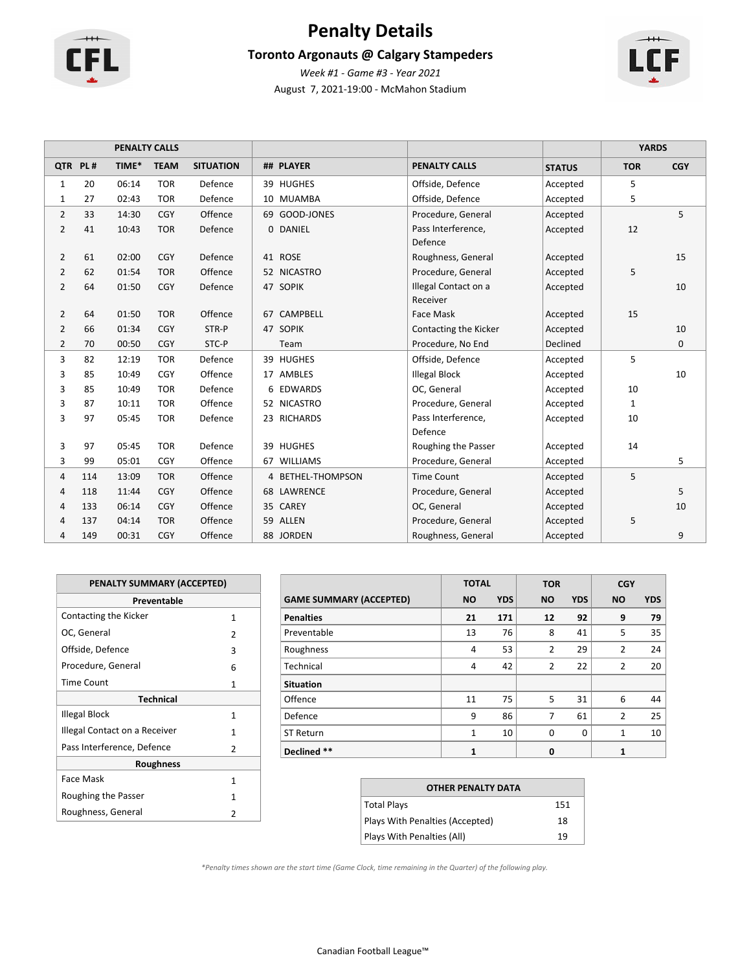

# **Penalty Details**

### **Toronto Argonauts @ Calgary Stampeders**



August 7, 2021-19:00 - McMahon Stadium *Week #1 - Game #3 - Year 2021*

|                |         | <b>PENALTY CALLS</b> |             |                  |                       |                       | <b>YARDS</b>  |              |            |
|----------------|---------|----------------------|-------------|------------------|-----------------------|-----------------------|---------------|--------------|------------|
|                | QTR PL# | TIME*                | <b>TEAM</b> | <b>SITUATION</b> | ## PLAYER             | <b>PENALTY CALLS</b>  | <b>STATUS</b> | <b>TOR</b>   | <b>CGY</b> |
| $\mathbf{1}$   | 20      | 06:14                | <b>TOR</b>  | Defence          | 39 HUGHES             | Offside, Defence      | Accepted      | 5            |            |
| $\mathbf{1}$   | 27      | 02:43                | <b>TOR</b>  | Defence          | 10 MUAMBA             | Offside, Defence      | Accepted      | 5            |            |
| 2              | 33      | 14:30                | <b>CGY</b>  | Offence          | 69 GOOD-JONES         | Procedure, General    | Accepted      |              | 5          |
| 2              | 41      | 10:43                | <b>TOR</b>  | Defence          | <b>DANIEL</b><br>0    | Pass Interference,    | Accepted      | 12           |            |
|                |         |                      |             |                  |                       | Defence               |               |              |            |
| 2              | 61      | 02:00                | <b>CGY</b>  | Defence          | 41 ROSE               | Roughness, General    | Accepted      |              | 15         |
| $\overline{2}$ | 62      | 01:54                | <b>TOR</b>  | Offence          | 52 NICASTRO           | Procedure, General    | Accepted      | 5            |            |
| $\overline{2}$ | 64      | 01:50                | CGY         | Defence          | 47 SOPIK              | Illegal Contact on a  | Accepted      |              | 10         |
|                |         |                      |             |                  |                       | Receiver              |               |              |            |
| $\overline{2}$ | 64      | 01:50                | <b>TOR</b>  | Offence          | <b>CAMPBELL</b><br>67 | Face Mask             | Accepted      | 15           |            |
| $\overline{2}$ | 66      | 01:34                | CGY         | STR-P            | <b>SOPIK</b><br>47    | Contacting the Kicker | Accepted      |              | 10         |
| 2              | 70      | 00:50                | <b>CGY</b>  | STC-P            | Team                  | Procedure, No End     | Declined      |              | 0          |
| 3              | 82      | 12:19                | <b>TOR</b>  | Defence          | 39 HUGHES             | Offside, Defence      | Accepted      | 5            |            |
| 3              | 85      | 10:49                | CGY         | Offence          | 17 AMBLES             | <b>Illegal Block</b>  | Accepted      |              | 10         |
| 3              | 85      | 10:49                | <b>TOR</b>  | Defence          | 6 EDWARDS             | OC, General           | Accepted      | 10           |            |
| 3              | 87      | 10:11                | <b>TOR</b>  | Offence          | 52 NICASTRO           | Procedure, General    | Accepted      | $\mathbf{1}$ |            |
| 3              | 97      | 05:45                | <b>TOR</b>  | Defence          | 23 RICHARDS           | Pass Interference,    | Accepted      | 10           |            |
|                |         |                      |             |                  |                       | Defence               |               |              |            |
| 3              | 97      | 05:45                | <b>TOR</b>  | Defence          | 39 HUGHES             | Roughing the Passer   | Accepted      | 14           |            |
| 3              | 99      | 05:01                | CGY         | Offence          | 67 WILLIAMS           | Procedure, General    | Accepted      |              | 5          |
| 4              | 114     | 13:09                | <b>TOR</b>  | Offence          | 4 BETHEL-THOMPSON     | <b>Time Count</b>     | Accepted      | 5            |            |
| 4              | 118     | 11:44                | CGY         | Offence          | 68 LAWRENCE           | Procedure, General    | Accepted      |              | 5          |
| 4              | 133     | 06:14                | <b>CGY</b>  | Offence          | <b>CAREY</b><br>35    | OC, General           | Accepted      |              | 10         |
| 4              | 137     | 04:14                | <b>TOR</b>  | Offence          | 59 ALLEN              | Procedure, General    | Accepted      | 5            |            |
| 4              | 149     | 00:31                | <b>CGY</b>  | Offence          | 88 JORDEN             | Roughness, General    | Accepted      |              | 9          |

| PENALTY SUMMARY (ACCEPTED)    |               |
|-------------------------------|---------------|
| Preventable                   |               |
| Contacting the Kicker         | 1             |
| OC, General                   | 2             |
| Offside, Defence              | ξ             |
| Procedure, General            | 6             |
| <b>Time Count</b>             | 1             |
| <b>Technical</b>              |               |
| Illegal Block                 | 1             |
| Illegal Contact on a Receiver | 1             |
| Pass Interference, Defence    | 2             |
| <b>Roughness</b>              |               |
| Face Mask                     | 1             |
| Roughing the Passer           | 1             |
| Roughness, General            | $\mathcal{P}$ |

|                                | <b>TOTAL</b>   |            | <b>TOR</b> |            | <b>CGY</b>     |            |
|--------------------------------|----------------|------------|------------|------------|----------------|------------|
| <b>GAME SUMMARY (ACCEPTED)</b> | <b>NO</b>      | <b>YDS</b> | <b>NO</b>  | <b>YDS</b> | <b>NO</b>      | <b>YDS</b> |
| <b>Penalties</b>               | 21             | 171        | 12         | 92         | 9              | 79         |
| Preventable                    | 13             | 76         | 8          | 41         | 5              | 35         |
| Roughness                      | $\overline{4}$ | 53         | 2          | 29         | $\overline{2}$ | 24         |
| Technical                      | 4              | 42         | 2          | 22         | 2              | 20         |
| <b>Situation</b>               |                |            |            |            |                |            |
| Offence                        | 11             | 75         | 5          | 31         | 6              | 44         |
| Defence                        | 9              | 86         | 7          | 61         | $\overline{2}$ | 25         |
| <b>ST Return</b>               | $\mathbf{1}$   | 10         | $\Omega$   | $\Omega$   | $\overline{1}$ | 10         |
| Declined **                    | 1              |            | 0          |            | 1              |            |

| <b>OTHER PENALTY DATA</b>       |     |
|---------------------------------|-----|
| <b>Total Plays</b>              | 151 |
| Plays With Penalties (Accepted) | 18  |
| Plays With Penalties (All)      | 19  |

*\*Penalty times shown are the start time (Game Clock, time remaining in the Quarter) of the following play.*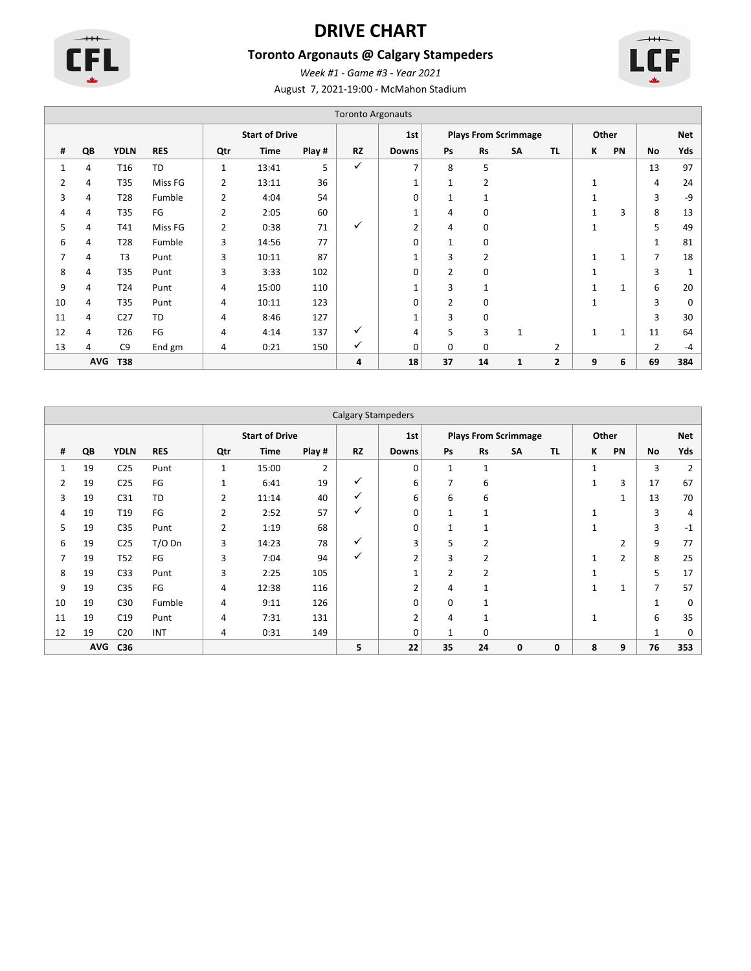

# **DRIVE CHART**

# **Toronto Argonauts @ Calgary Stampeders**

August 7, 2021-19:00 - McMahon Stadium *Week #1 - Game #3 - Year 2021*



|    |            |                 |            |                       |       |        | <b>Toronto Argonauts</b> |                |                             |                |              |                |   |              |                |              |
|----|------------|-----------------|------------|-----------------------|-------|--------|--------------------------|----------------|-----------------------------|----------------|--------------|----------------|---|--------------|----------------|--------------|
|    |            |                 |            | <b>Start of Drive</b> |       | 1st    |                          |                | <b>Plays From Scrimmage</b> |                |              | Other          |   | <b>Net</b>   |                |              |
| #  | QB         | <b>YDLN</b>     | <b>RES</b> | Qtr                   | Time  | Play # | <b>RZ</b>                | <b>Downs</b>   | Ps                          | <b>Rs</b>      | <b>SA</b>    | <b>TL</b>      | ĸ | PN           | No             | Yds          |
| 1  | 4          | T <sub>16</sub> | <b>TD</b>  | 1                     | 13:41 | 5      | ✓                        | $\overline{7}$ | 8                           | 5              |              |                |   |              | 13             | 97           |
| 2  | 4          | T35             | Miss FG    | 2                     | 13:11 | 36     |                          | 1              | $\mathbf{1}$                | $\overline{2}$ |              |                |   |              | 4              | 24           |
| 3  | 4          | T <sub>28</sub> | Fumble     | $\overline{2}$        | 4:04  | 54     |                          | 0              |                             | $\mathbf{1}$   |              |                |   |              | 3              | -9           |
| 4  | 4          | T35             | FG         | 2                     | 2:05  | 60     |                          | 1              | 4                           | 0              |              |                |   | 3            | 8              | 13           |
| 5  | 4          | T41             | Miss FG    | 2                     | 0:38  | 71     | ✓                        | $\overline{2}$ | 4                           | 0              |              |                | 1 |              | 5              | 49           |
| 6  | 4          | T28             | Fumble     | 3                     | 14:56 | 77     |                          | 0              | 1                           | 0              |              |                |   |              | $\mathbf{1}$   | 81           |
| 7  | 4          | T <sub>3</sub>  | Punt       | 3                     | 10:11 | 87     |                          | 1              | 3                           | $\overline{2}$ |              |                |   |              | 7              | 18           |
| 8  | 4          | T35             | Punt       | 3                     | 3:33  | 102    |                          | 0              | $\overline{2}$              | 0              |              |                |   |              | 3              | $\mathbf{1}$ |
| 9  | 4          | T24             | Punt       | 4                     | 15:00 | 110    |                          |                | 3                           | 1              |              |                |   | $\mathbf{1}$ | 6              | 20           |
| 10 | 4          | T35             | Punt       | 4                     | 10:11 | 123    |                          | 0              | 2                           | 0              |              |                |   |              | 3              | 0            |
| 11 | 4          | C <sub>27</sub> | TD         | 4                     | 8:46  | 127    |                          | $\mathbf{1}$   | 3                           | 0              |              |                |   |              | 3              | 30           |
| 12 | 4          | T <sub>26</sub> | FG         | 4                     | 4:14  | 137    | ✓                        | 4              | 5                           | 3              | $\mathbf{1}$ |                |   | $\mathbf{1}$ | 11             | 64           |
| 13 | 4          | C <sub>9</sub>  | End gm     | 4                     | 0:21  | 150    | ✓                        | 0              | 0                           | 0              |              | 2              |   |              | $\overline{2}$ | $-4$         |
|    | <b>AVG</b> | <b>T38</b>      |            |                       |       |        | 4                        | 18             | 37                          | 14             | 1            | $\overline{2}$ | 9 | 6            | 69             | 384          |

|    | <b>Calgary Stampeders</b> |                 |            |                |                       |                |           |                |                             |                |    |           |              |       |              |      |
|----|---------------------------|-----------------|------------|----------------|-----------------------|----------------|-----------|----------------|-----------------------------|----------------|----|-----------|--------------|-------|--------------|------|
|    |                           |                 |            |                | <b>Start of Drive</b> |                |           | 1st            | <b>Plays From Scrimmage</b> |                |    |           |              | Other |              | Net  |
| #  | QB                        | <b>YDLN</b>     | <b>RES</b> | Qtr            | <b>Time</b>           | Play #         | <b>RZ</b> | <b>Downs</b>   | Ps                          | <b>Rs</b>      | SA | <b>TL</b> | К            | PN    | No           | Yds  |
| 1  | 19                        | C <sub>25</sub> | Punt       | 1              | 15:00                 | $\overline{2}$ |           | 0              | $\mathbf{1}$                | $\mathbf{1}$   |    |           | $\mathbf{1}$ |       | 3            | 2    |
| 2  | 19                        | C <sub>25</sub> | FG         | 1              | 6:41                  | 19             | ✓         | 6              | 7                           | 6              |    |           | $\mathbf{1}$ | 3     | 17           | 67   |
| 3  | 19                        | C <sub>31</sub> | <b>TD</b>  | $\overline{2}$ | 11:14                 | 40             | ✓         | 6              | 6                           | 6              |    |           |              |       | 13           | 70   |
| 4  | 19                        | T <sub>19</sub> | FG         | $\overline{2}$ | 2:52                  | 57             | ✓         | $\mathbf 0$    | $\mathbf{1}$                | 1              |    |           |              |       | 3            | 4    |
| 5  | 19                        | C <sub>35</sub> | Punt       | 2              | 1:19                  | 68             |           | 0              | $\mathbf{1}$                | 1              |    |           | $\mathbf{1}$ |       | 3            | $-1$ |
| 6  | 19                        | C <sub>25</sub> | $T/O$ Dn   | 3              | 14:23                 | 78             | ✓         | 3              | 5                           | $\overline{2}$ |    |           |              | 2     | 9            | 77   |
| 7  | 19                        | T52             | FG         | 3              | 7:04                  | 94             | ✓         | $\overline{2}$ | 3                           | 2              |    |           |              | 2     | 8            | 25   |
| 8  | 19                        | C <sub>33</sub> | Punt       | 3              | 2:25                  | 105            |           | $\overline{ }$ | 2                           | $\overline{2}$ |    |           | $\mathbf{1}$ |       | 5            | 17   |
| 9  | 19                        | C <sub>35</sub> | FG         | 4              | 12:38                 | 116            |           | $\overline{2}$ | 4                           | $\mathbf{1}$   |    |           | $\mathbf{1}$ |       | 7            | 57   |
| 10 | 19                        | C30             | Fumble     | 4              | 9:11                  | 126            |           | 0              | 0                           | 1              |    |           |              |       | $\mathbf{1}$ | 0    |
| 11 | 19                        | C19             | Punt       | 4              | 7:31                  | 131            |           | $\overline{2}$ | 4                           | $\mathbf{1}$   |    |           | $\mathbf{1}$ |       | 6            | 35   |
| 12 | 19                        | C <sub>20</sub> | <b>INT</b> | 4              | 0:31                  | 149            |           | 0              | $\mathbf{1}$                | 0              |    |           |              |       | $\mathbf{1}$ | 0    |
|    | <b>AVG</b>                | C36             |            |                |                       |                | 5         | 22             | 35                          | 24             | 0  | 0         | 8            | 9     | 76           | 353  |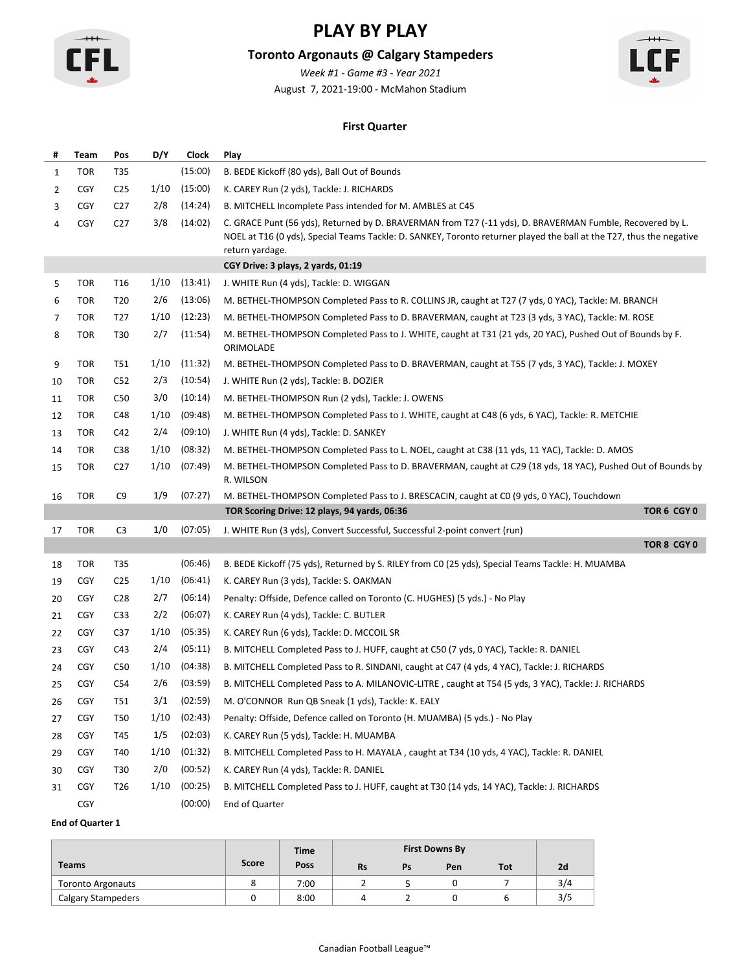

# **Toronto Argonauts @ Calgary Stampeders**

August 7, 2021-19:00 - McMahon Stadium *Week #1 - Game #3 - Year 2021*



### **First Quarter**

| #  | Team       | Pos             | D/Y  | <b>Clock</b> | Play                                                                                                                                                                                                                                                 |
|----|------------|-----------------|------|--------------|------------------------------------------------------------------------------------------------------------------------------------------------------------------------------------------------------------------------------------------------------|
| 1  | <b>TOR</b> | T35             |      | (15:00)      | B. BEDE Kickoff (80 yds), Ball Out of Bounds                                                                                                                                                                                                         |
| 2  | <b>CGY</b> | C <sub>25</sub> | 1/10 | (15:00)      | K. CAREY Run (2 yds), Tackle: J. RICHARDS                                                                                                                                                                                                            |
| 3  | <b>CGY</b> | C27             | 2/8  | (14:24)      | B. MITCHELL Incomplete Pass intended for M. AMBLES at C45                                                                                                                                                                                            |
| 4  | <b>CGY</b> | C <sub>27</sub> | 3/8  | (14:02)      | C. GRACE Punt (56 yds), Returned by D. BRAVERMAN from T27 (-11 yds), D. BRAVERMAN Fumble, Recovered by L.<br>NOEL at T16 (0 yds), Special Teams Tackle: D. SANKEY, Toronto returner played the ball at the T27, thus the negative<br>return yardage. |
|    |            |                 |      |              | CGY Drive: 3 plays, 2 yards, 01:19                                                                                                                                                                                                                   |
| 5  | <b>TOR</b> | T16             | 1/10 | (13:41)      | J. WHITE Run (4 yds), Tackle: D. WIGGAN                                                                                                                                                                                                              |
| 6  | <b>TOR</b> | T20             | 2/6  | (13:06)      | M. BETHEL-THOMPSON Completed Pass to R. COLLINS JR, caught at T27 (7 yds, 0 YAC), Tackle: M. BRANCH                                                                                                                                                  |
| 7  | <b>TOR</b> | T <sub>27</sub> | 1/10 | (12:23)      | M. BETHEL-THOMPSON Completed Pass to D. BRAVERMAN, caught at T23 (3 yds, 3 YAC), Tackle: M. ROSE                                                                                                                                                     |
| 8  | <b>TOR</b> | T30             | 2/7  | (11:54)      | M. BETHEL-THOMPSON Completed Pass to J. WHITE, caught at T31 (21 yds, 20 YAC), Pushed Out of Bounds by F.<br>ORIMOLADE                                                                                                                               |
| 9  | <b>TOR</b> | T51             | 1/10 | (11:32)      | M. BETHEL-THOMPSON Completed Pass to D. BRAVERMAN, caught at T55 (7 yds, 3 YAC), Tackle: J. MOXEY                                                                                                                                                    |
| 10 | <b>TOR</b> | C52             | 2/3  | (10:54)      | J. WHITE Run (2 yds), Tackle: B. DOZIER                                                                                                                                                                                                              |
| 11 | <b>TOR</b> | C50             | 3/0  | (10:14)      | M. BETHEL-THOMPSON Run (2 yds), Tackle: J. OWENS                                                                                                                                                                                                     |
| 12 | <b>TOR</b> | C48             | 1/10 | (09:48)      | M. BETHEL-THOMPSON Completed Pass to J. WHITE, caught at C48 (6 yds, 6 YAC), Tackle: R. METCHIE                                                                                                                                                      |
| 13 | <b>TOR</b> | C42             | 2/4  | (09:10)      | J. WHITE Run (4 yds), Tackle: D. SANKEY                                                                                                                                                                                                              |
| 14 | TOR        | C38             | 1/10 | (08:32)      | M. BETHEL-THOMPSON Completed Pass to L. NOEL, caught at C38 (11 yds, 11 YAC), Tackle: D. AMOS                                                                                                                                                        |
| 15 | <b>TOR</b> | C <sub>27</sub> | 1/10 | (07:49)      | M. BETHEL-THOMPSON Completed Pass to D. BRAVERMAN, caught at C29 (18 yds, 18 YAC), Pushed Out of Bounds by<br>R. WILSON                                                                                                                              |
| 16 | <b>TOR</b> | C <sub>9</sub>  | 1/9  | (07:27)      | M. BETHEL-THOMPSON Completed Pass to J. BRESCACIN, caught at CO (9 yds, 0 YAC), Touchdown                                                                                                                                                            |
|    |            |                 |      |              | TOR Scoring Drive: 12 plays, 94 yards, 06:36<br>TOR 6 CGY 0                                                                                                                                                                                          |
| 17 | <b>TOR</b> | C <sub>3</sub>  | 1/0  | (07:05)      | J. WHITE Run (3 yds), Convert Successful, Successful 2-point convert (run)                                                                                                                                                                           |
|    |            |                 |      |              | TOR 8 CGY 0                                                                                                                                                                                                                                          |
| 18 | <b>TOR</b> | T35             |      | (06:46)      | B. BEDE Kickoff (75 yds), Returned by S. RILEY from C0 (25 yds), Special Teams Tackle: H. MUAMBA                                                                                                                                                     |
| 19 | <b>CGY</b> | C <sub>25</sub> | 1/10 | (06:41)      | K. CAREY Run (3 yds), Tackle: S. OAKMAN                                                                                                                                                                                                              |
| 20 | <b>CGY</b> | C <sub>28</sub> | 2/7  | (06:14)      | Penalty: Offside, Defence called on Toronto (C. HUGHES) (5 yds.) - No Play                                                                                                                                                                           |
| 21 | <b>CGY</b> | C <sub>33</sub> | 2/2  | (06:07)      | K. CAREY Run (4 yds), Tackle: C. BUTLER                                                                                                                                                                                                              |
| 22 | <b>CGY</b> | C37             | 1/10 | (05:35)      | K. CAREY Run (6 yds), Tackle: D. MCCOIL SR                                                                                                                                                                                                           |
| 23 | <b>CGY</b> | C43             | 2/4  | (05:11)      | B. MITCHELL Completed Pass to J. HUFF, caught at C50 (7 yds, 0 YAC), Tackle: R. DANIEL                                                                                                                                                               |
| 24 | <b>CGY</b> | C50             | 1/10 | (04:38)      | B. MITCHELL Completed Pass to R. SINDANI, caught at C47 (4 yds, 4 YAC), Tackle: J. RICHARDS                                                                                                                                                          |
| 25 | <b>CGY</b> | C54             | 2/6  | (03:59)      | B. MITCHELL Completed Pass to A. MILANOVIC-LITRE, caught at T54 (5 yds, 3 YAC), Tackle: J. RICHARDS                                                                                                                                                  |
| 26 | <b>CGY</b> | T51             | 3/1  | (02:59)      | M. O'CONNOR Run QB Sneak (1 yds), Tackle: K. EALY                                                                                                                                                                                                    |
| 27 | <b>CGY</b> | <b>T50</b>      | 1/10 | (02:43)      | Penalty: Offside, Defence called on Toronto (H. MUAMBA) (5 yds.) - No Play                                                                                                                                                                           |
| 28 | <b>CGY</b> | T45             | 1/5  | (02:03)      | K. CAREY Run (5 yds), Tackle: H. MUAMBA                                                                                                                                                                                                              |
| 29 | <b>CGY</b> | T40             | 1/10 | (01:32)      | B. MITCHELL Completed Pass to H. MAYALA, caught at T34 (10 yds, 4 YAC), Tackle: R. DANIEL                                                                                                                                                            |
| 30 | <b>CGY</b> | T30             | 2/0  | (00:52)      | K. CAREY Run (4 yds), Tackle: R. DANIEL                                                                                                                                                                                                              |
| 31 | <b>CGY</b> | T26             | 1/10 | (00:25)      | B. MITCHELL Completed Pass to J. HUFF, caught at T30 (14 yds, 14 YAC), Tackle: J. RICHARDS                                                                                                                                                           |
|    | CGY        |                 |      | (00:00)      | End of Quarter                                                                                                                                                                                                                                       |

|                           |       | <b>Time</b> |           |    | <b>First Downs By</b> |            |     |
|---------------------------|-------|-------------|-----------|----|-----------------------|------------|-----|
| <b>Teams</b>              | Score | Poss        | <b>Rs</b> | Ps | Pen                   | <b>Tot</b> | 2d  |
| <b>Toronto Argonauts</b>  |       | 7:00        |           |    |                       |            | 3/4 |
| <b>Calgary Stampeders</b> |       | 8:00        |           |    |                       |            | 3/5 |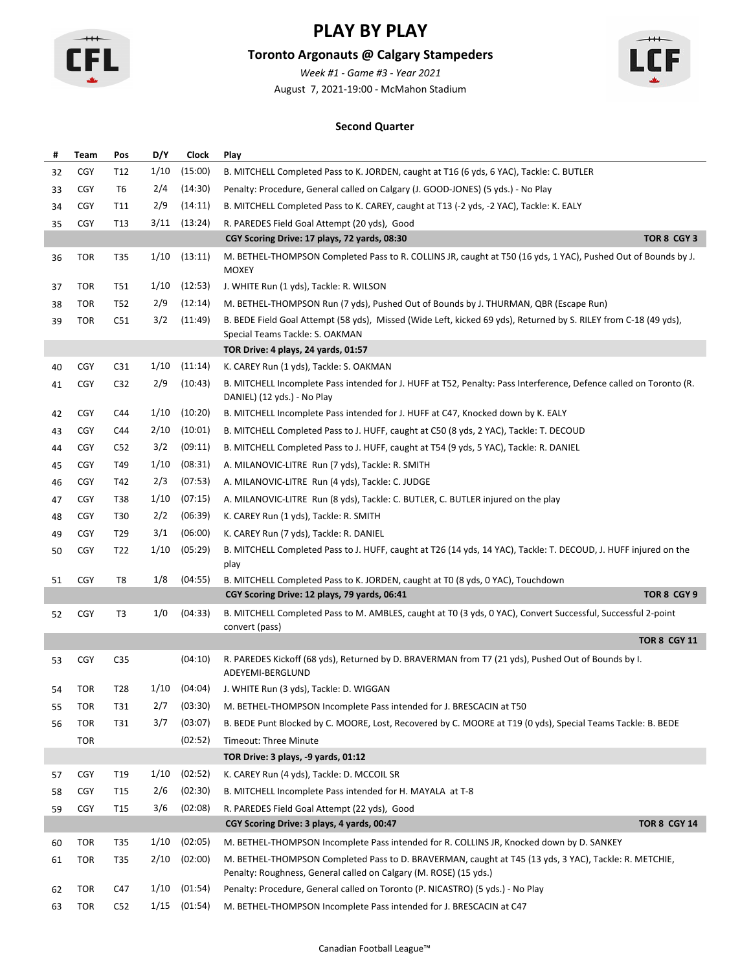

# **Toronto Argonauts @ Calgary Stampeders**

*Week #1 - Game #3 - Year 2021*



August 7, 2021-19:00 - McMahon Stadium

### **Second Quarter**

| #  | Team       | Pos             | D/Y  | <b>Clock</b>     | Play                                                                                                                                                                       |
|----|------------|-----------------|------|------------------|----------------------------------------------------------------------------------------------------------------------------------------------------------------------------|
| 32 | <b>CGY</b> | T12             | 1/10 | (15:00)          | B. MITCHELL Completed Pass to K. JORDEN, caught at T16 (6 yds, 6 YAC), Tackle: C. BUTLER                                                                                   |
| 33 | <b>CGY</b> | T6              | 2/4  | (14:30)          | Penalty: Procedure, General called on Calgary (J. GOOD-JONES) (5 yds.) - No Play                                                                                           |
| 34 | <b>CGY</b> | T11             | 2/9  | (14:11)          | B. MITCHELL Completed Pass to K. CAREY, caught at T13 (-2 yds, -2 YAC), Tackle: K. EALY                                                                                    |
| 35 | <b>CGY</b> | T <sub>13</sub> | 3/11 | (13:24)          | R. PAREDES Field Goal Attempt (20 yds), Good                                                                                                                               |
|    |            |                 |      |                  | CGY Scoring Drive: 17 plays, 72 yards, 08:30<br>TOR 8 CGY 3                                                                                                                |
| 36 | <b>TOR</b> | T35             | 1/10 | (13:11)          | M. BETHEL-THOMPSON Completed Pass to R. COLLINS JR, caught at T50 (16 yds, 1 YAC), Pushed Out of Bounds by J.<br><b>MOXEY</b>                                              |
| 37 | TOR        | T51             | 1/10 | (12:53)          | J. WHITE Run (1 yds), Tackle: R. WILSON                                                                                                                                    |
| 38 | <b>TOR</b> | T52             | 2/9  | (12:14)          | M. BETHEL-THOMPSON Run (7 yds), Pushed Out of Bounds by J. THURMAN, QBR (Escape Run)                                                                                       |
| 39 | <b>TOR</b> | C51             | 3/2  | (11:49)          | B. BEDE Field Goal Attempt (58 yds), Missed (Wide Left, kicked 69 yds), Returned by S. RILEY from C-18 (49 yds),<br>Special Teams Tackle: S. OAKMAN                        |
|    |            |                 |      |                  | TOR Drive: 4 plays, 24 yards, 01:57                                                                                                                                        |
| 40 | <b>CGY</b> | C <sub>31</sub> | 1/10 | (11:14)          | K. CAREY Run (1 yds), Tackle: S. OAKMAN                                                                                                                                    |
| 41 | <b>CGY</b> | C32             | 2/9  | (10:43)          | B. MITCHELL Incomplete Pass intended for J. HUFF at T52, Penalty: Pass Interference, Defence called on Toronto (R.<br>DANIEL) (12 yds.) - No Play                          |
| 42 | <b>CGY</b> | C44             | 1/10 | (10:20)          | B. MITCHELL Incomplete Pass intended for J. HUFF at C47, Knocked down by K. EALY                                                                                           |
| 43 | <b>CGY</b> | C44             | 2/10 | (10:01)          | B. MITCHELL Completed Pass to J. HUFF, caught at C50 (8 yds, 2 YAC), Tackle: T. DECOUD                                                                                     |
| 44 | <b>CGY</b> | C <sub>52</sub> | 3/2  | (09:11)          | B. MITCHELL Completed Pass to J. HUFF, caught at T54 (9 yds, 5 YAC), Tackle: R. DANIEL                                                                                     |
| 45 | <b>CGY</b> | T49             | 1/10 | (08:31)          | A. MILANOVIC-LITRE Run (7 yds), Tackle: R. SMITH                                                                                                                           |
| 46 | <b>CGY</b> | T42             | 2/3  | (07:53)          | A. MILANOVIC-LITRE Run (4 yds), Tackle: C. JUDGE                                                                                                                           |
| 47 | <b>CGY</b> | T38             | 1/10 | (07:15)          | A. MILANOVIC-LITRE Run (8 yds), Tackle: C. BUTLER, C. BUTLER injured on the play                                                                                           |
| 48 | <b>CGY</b> | T30             | 2/2  | (06:39)          | K. CAREY Run (1 yds), Tackle: R. SMITH                                                                                                                                     |
| 49 | <b>CGY</b> | T29             | 3/1  | (06:00)          | K. CAREY Run (7 yds), Tackle: R. DANIEL                                                                                                                                    |
| 50 | <b>CGY</b> | T22             | 1/10 | (05:29)          | B. MITCHELL Completed Pass to J. HUFF, caught at T26 (14 yds, 14 YAC), Tackle: T. DECOUD, J. HUFF injured on the<br>play                                                   |
| 51 | <b>CGY</b> | T8              | 1/8  | (04:55)          | B. MITCHELL Completed Pass to K. JORDEN, caught at T0 (8 yds, 0 YAC), Touchdown                                                                                            |
|    |            |                 |      |                  | TOR 8 CGY 9<br>CGY Scoring Drive: 12 plays, 79 yards, 06:41                                                                                                                |
| 52 | <b>CGY</b> | T3              | 1/0  | (04:33)          | B. MITCHELL Completed Pass to M. AMBLES, caught at T0 (3 yds, 0 YAC), Convert Successful, Successful 2-point<br>convert (pass)                                             |
|    |            |                 |      |                  | <b>TOR 8 CGY 11</b>                                                                                                                                                        |
| 53 | <b>CGY</b> | C <sub>35</sub> |      | (04:10)          | R. PAREDES Kickoff (68 yds), Returned by D. BRAVERMAN from T7 (21 yds), Pushed Out of Bounds by I.<br>ADEYEMI-BERGLUND                                                     |
| 54 | TOR        | T28             |      | $1/10$ $(04:04)$ | J. WHITE Run (3 yds), Tackle: D. WIGGAN                                                                                                                                    |
| 55 | TOR        | T31             | 2/7  | (03:30)          | M. BETHEL-THOMPSON Incomplete Pass intended for J. BRESCACIN at T50                                                                                                        |
| 56 | <b>TOR</b> | T31             | 3/7  | (03:07)          | B. BEDE Punt Blocked by C. MOORE, Lost, Recovered by C. MOORE at T19 (0 yds), Special Teams Tackle: B. BEDE                                                                |
|    | <b>TOR</b> |                 |      | (02:52)          | Timeout: Three Minute                                                                                                                                                      |
|    |            |                 |      |                  | TOR Drive: 3 plays, -9 yards, 01:12                                                                                                                                        |
| 57 | <b>CGY</b> | T19             | 1/10 | (02:52)          | K. CAREY Run (4 yds), Tackle: D. MCCOIL SR                                                                                                                                 |
| 58 | <b>CGY</b> | T <sub>15</sub> | 2/6  | (02:30)          | B. MITCHELL Incomplete Pass intended for H. MAYALA at T-8                                                                                                                  |
| 59 | <b>CGY</b> | T15             | 3/6  | (02:08)          | R. PAREDES Field Goal Attempt (22 yds), Good                                                                                                                               |
|    |            |                 |      |                  | <b>TOR 8 CGY 14</b><br>CGY Scoring Drive: 3 plays, 4 yards, 00:47                                                                                                          |
| 60 | <b>TOR</b> | T35             | 1/10 | (02:05)          | M. BETHEL-THOMPSON Incomplete Pass intended for R. COLLINS JR, Knocked down by D. SANKEY                                                                                   |
| 61 | TOR        | T35             | 2/10 | (02:00)          | M. BETHEL-THOMPSON Completed Pass to D. BRAVERMAN, caught at T45 (13 yds, 3 YAC), Tackle: R. METCHIE,<br>Penalty: Roughness, General called on Calgary (M. ROSE) (15 yds.) |
| 62 | TOR        | C47             | 1/10 | (01:54)          | Penalty: Procedure, General called on Toronto (P. NICASTRO) (5 yds.) - No Play                                                                                             |
| 63 | <b>TOR</b> | C52             |      | $1/15$ $(01:54)$ | M. BETHEL-THOMPSON Incomplete Pass intended for J. BRESCACIN at C47                                                                                                        |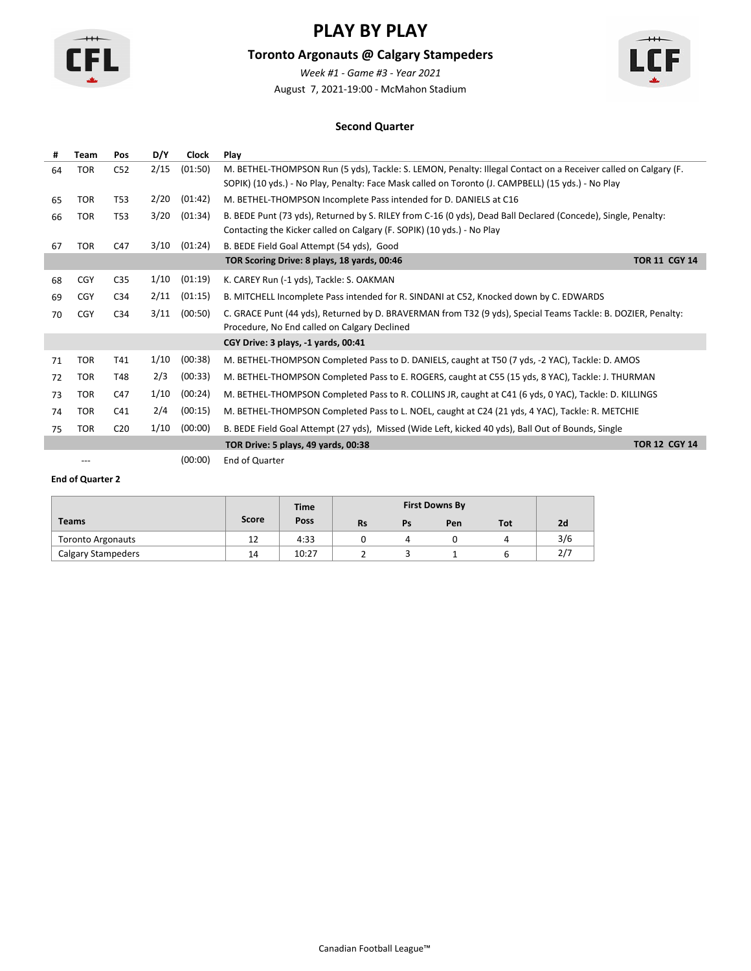

### **Toronto Argonauts @ Calgary Stampeders**

August 7, 2021-19:00 - McMahon Stadium *Week #1 - Game #3 - Year 2021*



#### **Second Quarter**

| #  | Team       | Pos             | D/Y  | <b>Clock</b> | Play                                                                                                                                                                                                                 |                      |
|----|------------|-----------------|------|--------------|----------------------------------------------------------------------------------------------------------------------------------------------------------------------------------------------------------------------|----------------------|
| 64 | <b>TOR</b> | C <sub>52</sub> | 2/15 | (01:50)      | M. BETHEL-THOMPSON Run (5 yds), Tackle: S. LEMON, Penalty: Illegal Contact on a Receiver called on Calgary (F.<br>SOPIK) (10 yds.) - No Play, Penalty: Face Mask called on Toronto (J. CAMPBELL) (15 yds.) - No Play |                      |
| 65 | <b>TOR</b> | T <sub>53</sub> | 2/20 | (01:42)      | M. BETHEL-THOMPSON Incomplete Pass intended for D. DANIELS at C16                                                                                                                                                    |                      |
| 66 | <b>TOR</b> | T53             | 3/20 | (01:34)      | B. BEDE Punt (73 yds), Returned by S. RILEY from C-16 (0 yds), Dead Ball Declared (Concede), Single, Penalty:<br>Contacting the Kicker called on Calgary (F. SOPIK) (10 yds.) - No Play                              |                      |
| 67 | <b>TOR</b> | C47             | 3/10 | (01:24)      | B. BEDE Field Goal Attempt (54 yds), Good                                                                                                                                                                            |                      |
|    |            |                 |      |              | TOR Scoring Drive: 8 plays, 18 yards, 00:46                                                                                                                                                                          | <b>TOR 11 CGY 14</b> |
| 68 | <b>CGY</b> | C <sub>35</sub> | 1/10 | (01:19)      | K. CAREY Run (-1 yds), Tackle: S. OAKMAN                                                                                                                                                                             |                      |
| 69 | <b>CGY</b> | C <sub>34</sub> | 2/11 | (01:15)      | B. MITCHELL Incomplete Pass intended for R. SINDANI at C52, Knocked down by C. EDWARDS                                                                                                                               |                      |
| 70 | CGY        | C34             | 3/11 | (00:50)      | C. GRACE Punt (44 yds), Returned by D. BRAVERMAN from T32 (9 yds), Special Teams Tackle: B. DOZIER, Penalty:<br>Procedure, No End called on Calgary Declined                                                         |                      |
|    |            |                 |      |              | CGY Drive: 3 plays, -1 yards, 00:41                                                                                                                                                                                  |                      |
| 71 | <b>TOR</b> | T41             | 1/10 | (00:38)      | M. BETHEL-THOMPSON Completed Pass to D. DANIELS, caught at T50 (7 yds, -2 YAC), Tackle: D. AMOS                                                                                                                      |                      |
| 72 | <b>TOR</b> | T48             | 2/3  | (00:33)      | M. BETHEL-THOMPSON Completed Pass to E. ROGERS, caught at C55 (15 yds, 8 YAC), Tackle: J. THURMAN                                                                                                                    |                      |
| 73 | <b>TOR</b> | C47             | 1/10 | (00:24)      | M. BETHEL-THOMPSON Completed Pass to R. COLLINS JR, caught at C41 (6 yds, 0 YAC), Tackle: D. KILLINGS                                                                                                                |                      |
| 74 | <b>TOR</b> | C41             | 2/4  | (00:15)      | M. BETHEL-THOMPSON Completed Pass to L. NOEL, caught at C24 (21 yds, 4 YAC), Tackle: R. METCHIE                                                                                                                      |                      |
| 75 | <b>TOR</b> | C <sub>20</sub> | 1/10 | (00:00)      | B. BEDE Field Goal Attempt (27 yds), Missed (Wide Left, kicked 40 yds), Ball Out of Bounds, Single                                                                                                                   |                      |
|    |            |                 |      |              | TOR Drive: 5 plays, 49 yards, 00:38                                                                                                                                                                                  | <b>TOR 12 CGY 14</b> |

--- (00:00) End of Quarter

|                           |       | <b>Time</b> |           |    | <b>First Downs By</b> |     |     |
|---------------------------|-------|-------------|-----------|----|-----------------------|-----|-----|
| <b>Teams</b>              | Score | Poss        | <b>Rs</b> | Ps | Pen                   | Tot | 2d  |
| <b>Toronto Argonauts</b>  | 12    | 4:33        |           |    |                       |     | 3/6 |
| <b>Calgary Stampeders</b> | 14    | 10:27       |           |    |                       |     | 2/7 |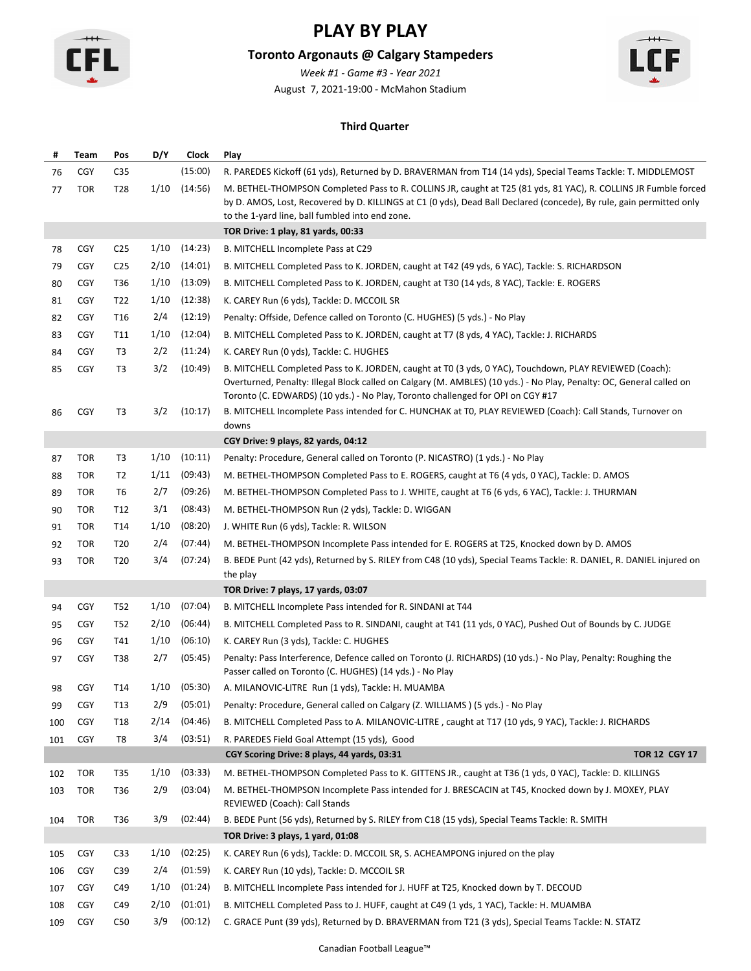

# **Toronto Argonauts @ Calgary Stampeders**

August 7, 2021-19:00 - McMahon Stadium *Week #1 - Game #3 - Year 2021*



### **Third Quarter**

| #   | Team       | Pos             | D/Y  | Clock   | Play                                                                                                                                                                                                                                                                                                               |
|-----|------------|-----------------|------|---------|--------------------------------------------------------------------------------------------------------------------------------------------------------------------------------------------------------------------------------------------------------------------------------------------------------------------|
| 76  | <b>CGY</b> | C <sub>35</sub> |      | (15:00) | R. PAREDES Kickoff (61 yds), Returned by D. BRAVERMAN from T14 (14 yds), Special Teams Tackle: T. MIDDLEMOST                                                                                                                                                                                                       |
| 77  | <b>TOR</b> | T28             | 1/10 | (14:56) | M. BETHEL-THOMPSON Completed Pass to R. COLLINS JR, caught at T25 (81 yds, 81 YAC), R. COLLINS JR Fumble forced<br>by D. AMOS, Lost, Recovered by D. KILLINGS at C1 (0 yds), Dead Ball Declared (concede), By rule, gain permitted only                                                                            |
|     |            |                 |      |         | to the 1-yard line, ball fumbled into end zone.                                                                                                                                                                                                                                                                    |
|     |            |                 |      |         | TOR Drive: 1 play, 81 yards, 00:33                                                                                                                                                                                                                                                                                 |
| 78  | <b>CGY</b> | C <sub>25</sub> | 1/10 | (14:23) | B. MITCHELL Incomplete Pass at C29                                                                                                                                                                                                                                                                                 |
| 79  | <b>CGY</b> | C <sub>25</sub> | 2/10 | (14:01) | B. MITCHELL Completed Pass to K. JORDEN, caught at T42 (49 yds, 6 YAC), Tackle: S. RICHARDSON                                                                                                                                                                                                                      |
| 80  | <b>CGY</b> | T36             | 1/10 | (13:09) | B. MITCHELL Completed Pass to K. JORDEN, caught at T30 (14 yds, 8 YAC), Tackle: E. ROGERS                                                                                                                                                                                                                          |
| 81  | <b>CGY</b> | T22             | 1/10 | (12:38) | K. CAREY Run (6 yds), Tackle: D. MCCOIL SR                                                                                                                                                                                                                                                                         |
| 82  | <b>CGY</b> | T16             | 2/4  | (12:19) | Penalty: Offside, Defence called on Toronto (C. HUGHES) (5 yds.) - No Play                                                                                                                                                                                                                                         |
| 83  | <b>CGY</b> | T11             | 1/10 | (12:04) | B. MITCHELL Completed Pass to K. JORDEN, caught at T7 (8 yds, 4 YAC), Tackle: J. RICHARDS                                                                                                                                                                                                                          |
| 84  | <b>CGY</b> | T3              | 2/2  | (11:24) | K. CAREY Run (0 yds), Tackle: C. HUGHES                                                                                                                                                                                                                                                                            |
| 85  | <b>CGY</b> | T3              | 3/2  | (10:49) | B. MITCHELL Completed Pass to K. JORDEN, caught at TO (3 yds, 0 YAC), Touchdown, PLAY REVIEWED (Coach):<br>Overturned, Penalty: Illegal Block called on Calgary (M. AMBLES) (10 yds.) - No Play, Penalty: OC, General called on<br>Toronto (C. EDWARDS) (10 yds.) - No Play, Toronto challenged for OPI on CGY #17 |
| 86  | <b>CGY</b> | T3              | 3/2  | (10:17) | B. MITCHELL Incomplete Pass intended for C. HUNCHAK at T0, PLAY REVIEWED (Coach): Call Stands, Turnover on<br>downs                                                                                                                                                                                                |
|     |            |                 |      |         | CGY Drive: 9 plays, 82 yards, 04:12                                                                                                                                                                                                                                                                                |
| 87  | <b>TOR</b> | T3              | 1/10 | (10:11) | Penalty: Procedure, General called on Toronto (P. NICASTRO) (1 yds.) - No Play                                                                                                                                                                                                                                     |
| 88  | <b>TOR</b> | T2              | 1/11 | (09:43) | M. BETHEL-THOMPSON Completed Pass to E. ROGERS, caught at T6 (4 yds, 0 YAC), Tackle: D. AMOS                                                                                                                                                                                                                       |
| 89  | <b>TOR</b> | T6              | 2/7  | (09:26) | M. BETHEL-THOMPSON Completed Pass to J. WHITE, caught at T6 (6 yds, 6 YAC), Tackle: J. THURMAN                                                                                                                                                                                                                     |
| 90  | <b>TOR</b> | T12             | 3/1  | (08:43) | M. BETHEL-THOMPSON Run (2 yds), Tackle: D. WIGGAN                                                                                                                                                                                                                                                                  |
| 91  | <b>TOR</b> | T14             | 1/10 | (08:20) | J. WHITE Run (6 yds), Tackle: R. WILSON                                                                                                                                                                                                                                                                            |
| 92  | TOR        | T <sub>20</sub> | 2/4  | (07:44) | M. BETHEL-THOMPSON Incomplete Pass intended for E. ROGERS at T25, Knocked down by D. AMOS                                                                                                                                                                                                                          |
| 93  | <b>TOR</b> | T20             | 3/4  | (07:24) | B. BEDE Punt (42 yds), Returned by S. RILEY from C48 (10 yds), Special Teams Tackle: R. DANIEL, R. DANIEL injured on<br>the play                                                                                                                                                                                   |
|     |            |                 |      |         | TOR Drive: 7 plays, 17 yards, 03:07                                                                                                                                                                                                                                                                                |
| 94  | <b>CGY</b> | T52             | 1/10 | (07:04) | B. MITCHELL Incomplete Pass intended for R. SINDANI at T44                                                                                                                                                                                                                                                         |
| 95  | <b>CGY</b> | <b>T52</b>      | 2/10 | (06:44) | B. MITCHELL Completed Pass to R. SINDANI, caught at T41 (11 yds, 0 YAC), Pushed Out of Bounds by C. JUDGE                                                                                                                                                                                                          |
| 96  | <b>CGY</b> | T41             | 1/10 | (06:10) | K. CAREY Run (3 yds), Tackle: C. HUGHES                                                                                                                                                                                                                                                                            |
| 97  | <b>CGY</b> | T38             | 2/7  | (05:45) | Penalty: Pass Interference, Defence called on Toronto (J. RICHARDS) (10 yds.) - No Play, Penalty: Roughing the<br>Passer called on Toronto (C. HUGHES) (14 yds.) - No Play                                                                                                                                         |
| 98  | <b>CGY</b> | T14             | 1/10 | (05:30) | A. MILANOVIC-LITRE Run (1 yds), Tackle: H. MUAMBA                                                                                                                                                                                                                                                                  |
| 99  | <b>CGY</b> | T <sub>13</sub> | 2/9  | (05:01) | Penalty: Procedure, General called on Calgary (Z. WILLIAMS) (5 yds.) - No Play                                                                                                                                                                                                                                     |
| 100 | <b>CGY</b> | T <sub>18</sub> | 2/14 | (04:46) | B. MITCHELL Completed Pass to A. MILANOVIC-LITRE, caught at T17 (10 yds, 9 YAC), Tackle: J. RICHARDS                                                                                                                                                                                                               |
| 101 | <b>CGY</b> | T8              | 3/4  | (03:51) | R. PAREDES Field Goal Attempt (15 yds), Good                                                                                                                                                                                                                                                                       |
|     |            |                 |      |         | <b>TOR 12 CGY 17</b><br>CGY Scoring Drive: 8 plays, 44 yards, 03:31                                                                                                                                                                                                                                                |
| 102 | <b>TOR</b> | T35             | 1/10 | (03:33) | M. BETHEL-THOMPSON Completed Pass to K. GITTENS JR., caught at T36 (1 yds, 0 YAC), Tackle: D. KILLINGS                                                                                                                                                                                                             |
| 103 | TOR        | T36             | 2/9  | (03:04) | M. BETHEL-THOMPSON Incomplete Pass intended for J. BRESCACIN at T45, Knocked down by J. MOXEY, PLAY<br>REVIEWED (Coach): Call Stands                                                                                                                                                                               |
| 104 | <b>TOR</b> | T36             | 3/9  | (02:44) | B. BEDE Punt (56 yds), Returned by S. RILEY from C18 (15 yds), Special Teams Tackle: R. SMITH                                                                                                                                                                                                                      |
|     |            |                 |      |         | TOR Drive: 3 plays, 1 yard, 01:08                                                                                                                                                                                                                                                                                  |
| 105 | <b>CGY</b> | C33             | 1/10 | (02:25) | K. CAREY Run (6 yds), Tackle: D. MCCOIL SR, S. ACHEAMPONG injured on the play                                                                                                                                                                                                                                      |
| 106 | <b>CGY</b> | C <sub>39</sub> | 2/4  | (01:59) | K. CAREY Run (10 yds), Tackle: D. MCCOIL SR                                                                                                                                                                                                                                                                        |
| 107 | <b>CGY</b> | C49             | 1/10 | (01:24) | B. MITCHELL Incomplete Pass intended for J. HUFF at T25, Knocked down by T. DECOUD                                                                                                                                                                                                                                 |
| 108 | <b>CGY</b> | C49             | 2/10 | (01:01) | B. MITCHELL Completed Pass to J. HUFF, caught at C49 (1 yds, 1 YAC), Tackle: H. MUAMBA                                                                                                                                                                                                                             |
| 109 | CGY        | C50             | 3/9  | (00:12) | C. GRACE Punt (39 yds), Returned by D. BRAVERMAN from T21 (3 yds), Special Teams Tackle: N. STATZ                                                                                                                                                                                                                  |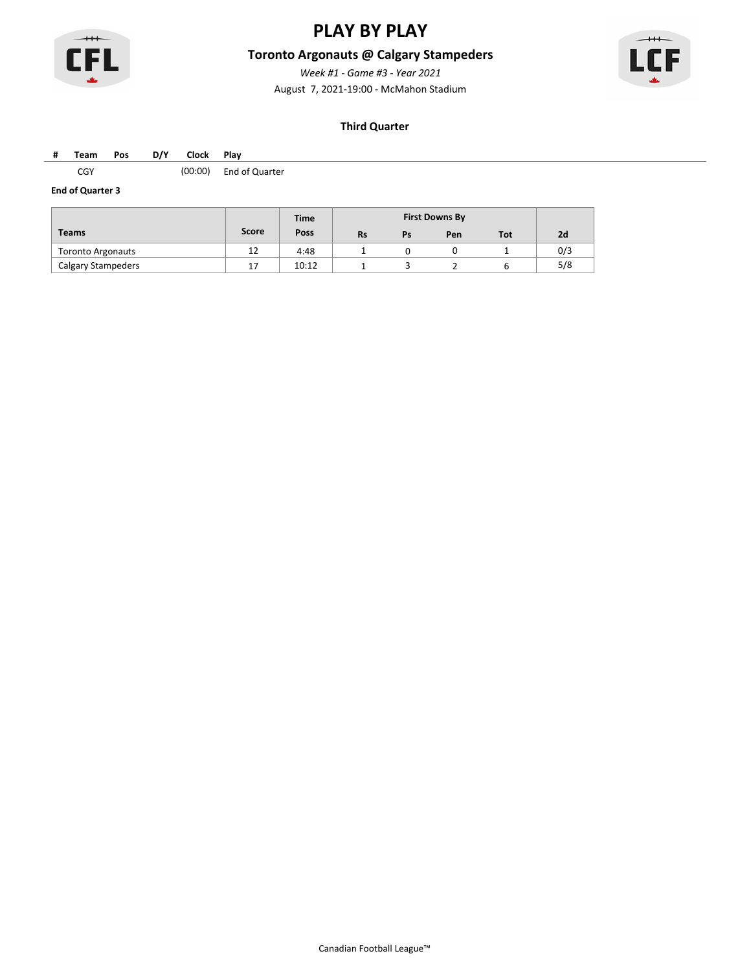

### **Toronto Argonauts @ Calgary Stampeders**

August 7, 2021-19:00 - McMahon Stadium *Week #1 - Game #3 - Year 2021*



#### **Third Quarter**

#### **# Team Pos D/Y Clock Play**

CGY (00:00) End of Quarter

|                           |       | <b>Time</b> |           |    | <b>First Downs By</b> |     |     |
|---------------------------|-------|-------------|-----------|----|-----------------------|-----|-----|
| <b>Teams</b>              | Score | Poss        | <b>Rs</b> | Ps | Pen                   | Tot | 2d  |
| <b>Toronto Argonauts</b>  | 12    | 4:48        |           |    |                       |     | 0/3 |
| <b>Calgary Stampeders</b> | 17    | 10:12       |           |    |                       |     | 5/8 |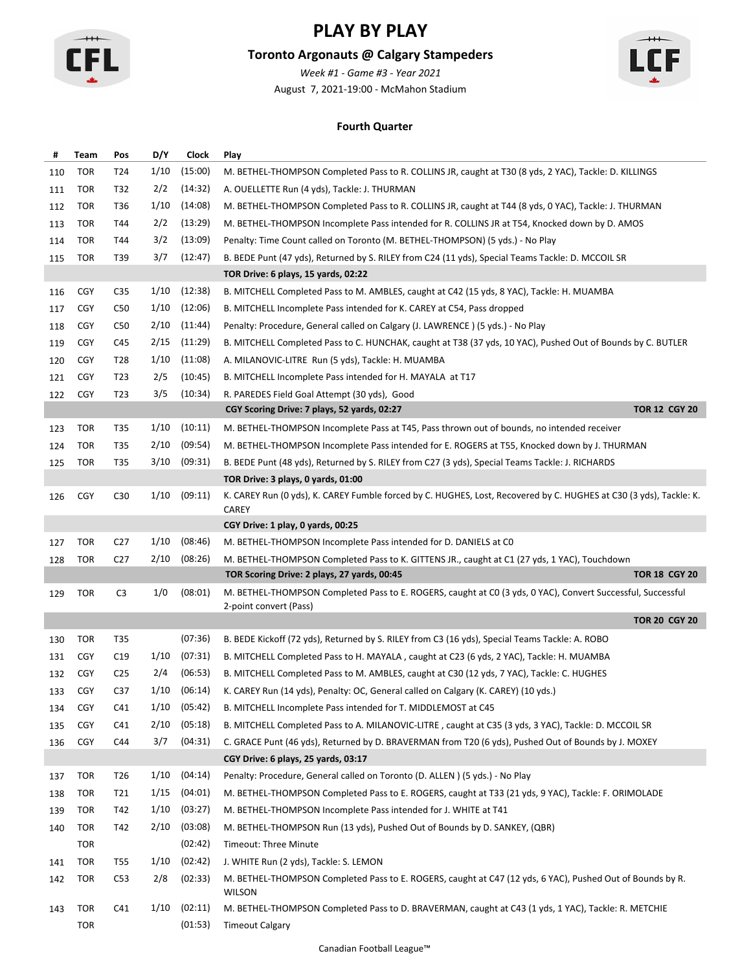

# **Toronto Argonauts @ Calgary Stampeders**

August 7, 2021-19:00 - McMahon Stadium *Week #1 - Game #3 - Year 2021*



### **Fourth Quarter**

| #   | Team       | Pos             | D/Y  | Clock   | Play                                                                                                                               |
|-----|------------|-----------------|------|---------|------------------------------------------------------------------------------------------------------------------------------------|
| 110 | <b>TOR</b> | T24             | 1/10 | (15:00) | M. BETHEL-THOMPSON Completed Pass to R. COLLINS JR, caught at T30 (8 yds, 2 YAC), Tackle: D. KILLINGS                              |
| 111 | <b>TOR</b> | T32             | 2/2  | (14:32) | A. OUELLETTE Run (4 yds), Tackle: J. THURMAN                                                                                       |
| 112 | <b>TOR</b> | T36             | 1/10 | (14:08) | M. BETHEL-THOMPSON Completed Pass to R. COLLINS JR, caught at T44 (8 yds, 0 YAC), Tackle: J. THURMAN                               |
| 113 | TOR        | T44             | 2/2  | (13:29) | M. BETHEL-THOMPSON Incomplete Pass intended for R. COLLINS JR at T54, Knocked down by D. AMOS                                      |
| 114 | <b>TOR</b> | T44             | 3/2  | (13:09) | Penalty: Time Count called on Toronto (M. BETHEL-THOMPSON) (5 yds.) - No Play                                                      |
| 115 | TOR        | T39             | 3/7  | (12:47) | B. BEDE Punt (47 yds), Returned by S. RILEY from C24 (11 yds), Special Teams Tackle: D. MCCOIL SR                                  |
|     |            |                 |      |         | TOR Drive: 6 plays, 15 yards, 02:22                                                                                                |
| 116 | <b>CGY</b> | C <sub>35</sub> | 1/10 | (12:38) | B. MITCHELL Completed Pass to M. AMBLES, caught at C42 (15 yds, 8 YAC), Tackle: H. MUAMBA                                          |
| 117 | <b>CGY</b> | C50             | 1/10 | (12:06) | B. MITCHELL Incomplete Pass intended for K. CAREY at C54, Pass dropped                                                             |
| 118 | <b>CGY</b> | C50             | 2/10 | (11:44) | Penalty: Procedure, General called on Calgary (J. LAWRENCE) (5 yds.) - No Play                                                     |
| 119 | <b>CGY</b> | C45             | 2/15 | (11:29) | B. MITCHELL Completed Pass to C. HUNCHAK, caught at T38 (37 yds, 10 YAC), Pushed Out of Bounds by C. BUTLER                        |
| 120 | <b>CGY</b> | T28             | 1/10 | (11:08) | A. MILANOVIC-LITRE Run (5 yds), Tackle: H. MUAMBA                                                                                  |
| 121 | <b>CGY</b> | T23             | 2/5  | (10:45) | B. MITCHELL Incomplete Pass intended for H. MAYALA at T17                                                                          |
| 122 | <b>CGY</b> | T23             | 3/5  | (10:34) | R. PAREDES Field Goal Attempt (30 yds), Good                                                                                       |
|     |            |                 |      |         | <b>TOR 12 CGY 20</b><br>CGY Scoring Drive: 7 plays, 52 yards, 02:27                                                                |
| 123 | TOR        | T35             | 1/10 | (10:11) | M. BETHEL-THOMPSON Incomplete Pass at T45, Pass thrown out of bounds, no intended receiver                                         |
| 124 | <b>TOR</b> | T35             | 2/10 | (09:54) | M. BETHEL-THOMPSON Incomplete Pass intended for E. ROGERS at T55, Knocked down by J. THURMAN                                       |
| 125 | TOR        | T35             | 3/10 | (09:31) | B. BEDE Punt (48 yds), Returned by S. RILEY from C27 (3 yds), Special Teams Tackle: J. RICHARDS                                    |
|     |            |                 |      |         | TOR Drive: 3 plays, 0 yards, 01:00                                                                                                 |
| 126 | <b>CGY</b> | C <sub>30</sub> | 1/10 | (09:11) | K. CAREY Run (0 yds), K. CAREY Fumble forced by C. HUGHES, Lost, Recovered by C. HUGHES at C30 (3 yds), Tackle: K.<br><b>CAREY</b> |
|     |            |                 |      |         | CGY Drive: 1 play, 0 yards, 00:25                                                                                                  |
| 127 | <b>TOR</b> | C <sub>27</sub> | 1/10 | (08:46) | M. BETHEL-THOMPSON Incomplete Pass intended for D. DANIELS at CO                                                                   |
| 128 | <b>TOR</b> | C <sub>27</sub> | 2/10 | (08:26) | M. BETHEL-THOMPSON Completed Pass to K. GITTENS JR., caught at C1 (27 yds, 1 YAC), Touchdown                                       |
|     |            |                 |      |         | <b>TOR 18 CGY 20</b><br>TOR Scoring Drive: 2 plays, 27 yards, 00:45                                                                |
| 129 | <b>TOR</b> | C <sub>3</sub>  | 1/0  | (08:01) | M. BETHEL-THOMPSON Completed Pass to E. ROGERS, caught at CO (3 yds, 0 YAC), Convert Successful, Successful                        |
|     |            |                 |      |         | 2-point convert (Pass)                                                                                                             |
|     |            |                 |      |         | <b>TOR 20 CGY 20</b>                                                                                                               |
| 130 | <b>TOR</b> | T35             |      | (07:36) | B. BEDE Kickoff (72 yds), Returned by S. RILEY from C3 (16 yds), Special Teams Tackle: A. ROBO                                     |
| 131 | <b>CGY</b> | C19             | 1/10 | (07:31) | B. MITCHELL Completed Pass to H. MAYALA, caught at C23 (6 yds, 2 YAC), Tackle: H. MUAMBA                                           |
| 132 | <b>CGY</b> | C <sub>25</sub> | 2/4  | (06:53) | B. MITCHELL Completed Pass to M. AMBLES, caught at C30 (12 yds, 7 YAC), Tackle: C. HUGHES                                          |
| 133 | <b>CGY</b> | C <sub>37</sub> | 1/10 | (06:14) | K. CAREY Run (14 yds), Penalty: OC, General called on Calgary (K. CAREY) (10 yds.)                                                 |
| 134 | <b>CGY</b> | C41             | 1/10 | (05:42) | B. MITCHELL Incomplete Pass intended for T. MIDDLEMOST at C45                                                                      |
| 135 | <b>CGY</b> | C41             | 2/10 | (05:18) | B. MITCHELL Completed Pass to A. MILANOVIC-LITRE, caught at C35 (3 yds, 3 YAC), Tackle: D. MCCOIL SR                               |
| 136 | <b>CGY</b> | C44             | 3/7  | (04:31) | C. GRACE Punt (46 yds), Returned by D. BRAVERMAN from T20 (6 yds), Pushed Out of Bounds by J. MOXEY                                |
|     |            |                 |      |         | CGY Drive: 6 plays, 25 yards, 03:17                                                                                                |
| 137 | <b>TOR</b> | T26             | 1/10 | (04:14) | Penalty: Procedure, General called on Toronto (D. ALLEN) (5 yds.) - No Play                                                        |
| 138 | TOR        | T21             | 1/15 | (04:01) | M. BETHEL-THOMPSON Completed Pass to E. ROGERS, caught at T33 (21 yds, 9 YAC), Tackle: F. ORIMOLADE                                |
| 139 | <b>TOR</b> | T42             | 1/10 | (03:27) | M. BETHEL-THOMPSON Incomplete Pass intended for J. WHITE at T41                                                                    |
| 140 | TOR        | T42             | 2/10 | (03:08) | M. BETHEL-THOMPSON Run (13 yds), Pushed Out of Bounds by D. SANKEY, (QBR)                                                          |
|     | <b>TOR</b> |                 |      | (02:42) | Timeout: Three Minute                                                                                                              |
| 141 | TOR        | T55             | 1/10 | (02:42) | J. WHITE Run (2 yds), Tackle: S. LEMON                                                                                             |
| 142 | <b>TOR</b> | C <sub>53</sub> | 2/8  | (02:33) | M. BETHEL-THOMPSON Completed Pass to E. ROGERS, caught at C47 (12 yds, 6 YAC), Pushed Out of Bounds by R.<br><b>WILSON</b>         |
| 143 | <b>TOR</b> | C41             | 1/10 | (02:11) | M. BETHEL-THOMPSON Completed Pass to D. BRAVERMAN, caught at C43 (1 yds, 1 YAC), Tackle: R. METCHIE                                |